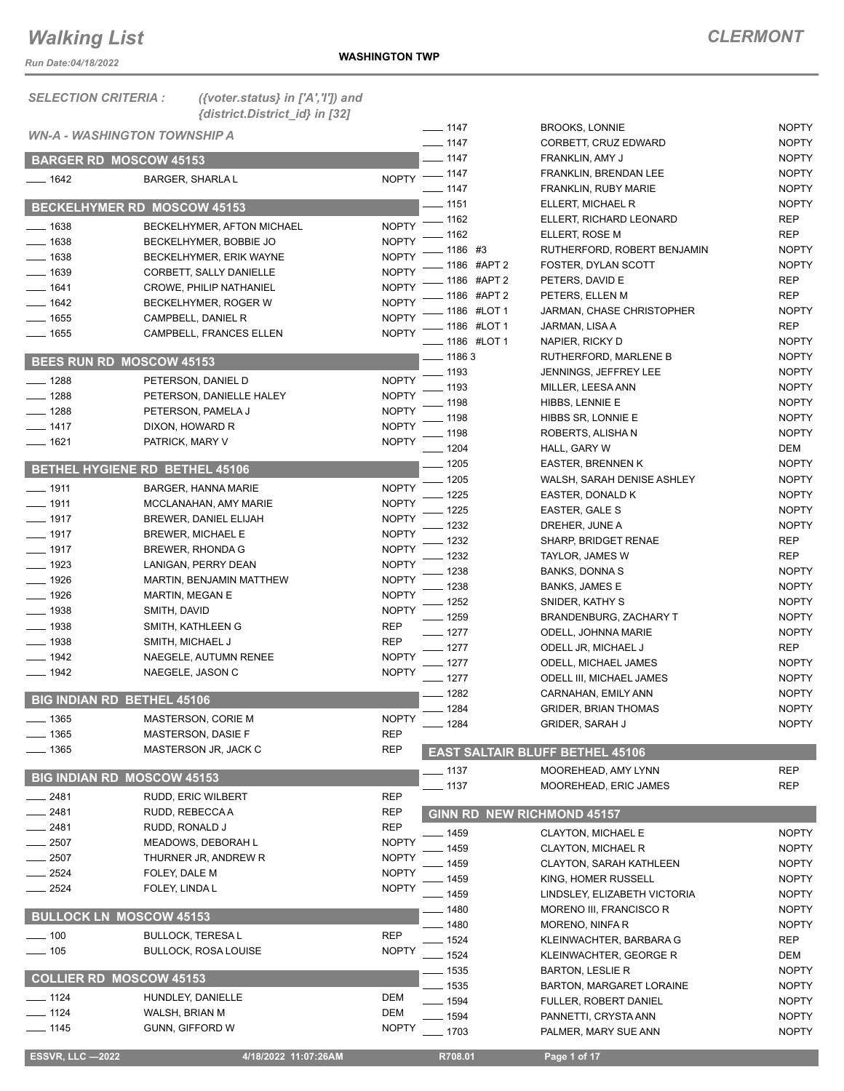*Run Date:04/18/2022*

| <b>SELECTION CRITERIA:</b> | ({voter.status} in $['A', 'T']$ ) and                   |                            |                    |                                        |              |
|----------------------------|---------------------------------------------------------|----------------------------|--------------------|----------------------------------------|--------------|
|                            | {district.District_id} in [32]                          |                            | $- 1147$           | <b>BROOKS, LONNIE</b>                  | <b>NOPTY</b> |
|                            | <i><b>WN-A - WASHINGTON TOWNSHIP A</b></i>              |                            | $- 1147$           | CORBETT, CRUZ EDWARD                   | <b>NOPTY</b> |
|                            | <b>BARGER RD MOSCOW 45153</b>                           |                            | $-1147$            | FRANKLIN, AMY J                        | <b>NOPTY</b> |
| $- 1642$                   | <b>BARGER, SHARLA L</b>                                 |                            | NOPTY - 1147       | FRANKLIN, BRENDAN LEE                  | <b>NOPTY</b> |
|                            |                                                         |                            | $- 1147$           | FRANKLIN, RUBY MARIE                   | <b>NOPTY</b> |
|                            | <b>BECKELHYMER RD MOSCOW 45153</b>                      |                            | $-1151$            | ELLERT, MICHAEL R                      | <b>NOPTY</b> |
| $\frac{1}{2}$ 1638         | BECKELHYMER, AFTON MICHAEL                              | <b>NOPTY</b>               | $\frac{1}{2}$ 1162 | ELLERT, RICHARD LEONARD                | <b>REP</b>   |
| $- 1638$                   | BECKELHYMER, BOBBIE JO                                  | <b>NOPTY</b>               | 1162               | ELLERT, ROSE M                         | <b>REP</b>   |
| $- 1638$                   | BECKELHYMER, ERIK WAYNE                                 | <b>NOPTY</b>               | . 1186 #3          | RUTHERFORD, ROBERT BENJAMIN            | <b>NOPTY</b> |
| $- 1639$                   | CORBETT, SALLY DANIELLE                                 | <b>NOPTY</b>               | - 1186 #APT 2      | FOSTER, DYLAN SCOTT                    | <b>NOPTY</b> |
| $- 1641$                   | <b>CROWE, PHILIP NATHANIEL</b>                          | <b>NOPTY</b>               | 1186 #APT 2        | PETERS, DAVID E                        | <b>REP</b>   |
| $- 1642$                   | BECKELHYMER, ROGER W                                    | <b>NOPTY</b>               | 1186 #APT 2        | PETERS, ELLEN M                        | <b>REP</b>   |
| ____ 1655                  | CAMPBELL, DANIEL R                                      | <b>NOPTY</b>               | 1186 #LOT 1        | JARMAN, CHASE CHRISTOPHER              | <b>NOPTY</b> |
| $- 1655$                   | <b>CAMPBELL, FRANCES ELLEN</b>                          | <b>NOPTY</b>               | 1186 #LOT 1        | JARMAN, LISA A                         | <b>REP</b>   |
|                            |                                                         |                            | _ 1186 #LOT 1      | NAPIER, RICKY D                        | <b>NOPTY</b> |
|                            | <b>BEES RUN RD MOSCOW 45153</b>                         |                            | $-11863$           | RUTHERFORD, MARLENE B                  | <b>NOPTY</b> |
| $- 1288$                   | PETERSON, DANIEL D                                      | <b>NOPTY</b>               | $-1193$            | <b>JENNINGS, JEFFREY LEE</b>           | <b>NOPTY</b> |
| $- 1288$                   | PETERSON, DANIELLE HALEY                                | <b>NOPTY</b>               | 1193               | MILLER, LEESA ANN                      | <b>NOPTY</b> |
| $- 1288$                   | PETERSON, PAMELA J                                      | <b>NOPTY</b>               | 1198               | HIBBS, LENNIE E                        | <b>NOPTY</b> |
| $- 1417$                   | DIXON, HOWARD R                                         | <b>NOPTY</b>               | 1198               | HIBBS SR, LONNIE E                     | <b>NOPTY</b> |
| $- 1621$                   | PATRICK, MARY V                                         | <b>NOPTY</b>               | 1198               | ROBERTS, ALISHA N                      | <b>NOPTY</b> |
|                            |                                                         |                            | $-1204$            | HALL, GARY W                           | <b>DEM</b>   |
|                            | BETHEL HYGIENE RD BETHEL 45106                          |                            | $-1205$            | <b>EASTER, BRENNEN K</b>               | <b>NOPTY</b> |
| $- 1911$                   | <b>BARGER, HANNA MARIE</b>                              | <b>NOPTY</b>               | $-1205$            | WALSH, SARAH DENISE ASHLEY             | <b>NOPTY</b> |
| $- 1911$                   | MCCLANAHAN, AMY MARIE                                   | <b>NOPTY</b>               | 1225               | EASTER, DONALD K                       | <b>NOPTY</b> |
| $- 1917$                   | BREWER, DANIEL ELIJAH                                   | <b>NOPTY</b>               | 1225               | EASTER, GALE S                         | <b>NOPTY</b> |
| $\frac{1}{2}$ 1917         | <b>BREWER, MICHAEL E</b>                                | <b>NOPTY</b>               | 1232               | DREHER, JUNE A                         | <b>NOPTY</b> |
| ___ 1917                   | <b>BREWER, RHONDA G</b>                                 | <b>NOPTY</b>               | 1232               | SHARP, BRIDGET RENAE                   | <b>REP</b>   |
| $- 1923$                   | LANIGAN, PERRY DEAN                                     | <b>NOPTY</b>               | 1232               | TAYLOR, JAMES W                        | <b>REP</b>   |
| $- 1926$                   | MARTIN, BENJAMIN MATTHEW                                | <b>NOPTY</b>               | - 1238             | <b>BANKS, DONNA S</b>                  | <b>NOPTY</b> |
| $- 1926$                   | <b>MARTIN, MEGAN E</b>                                  | <b>NOPTY</b>               | 1238               | <b>BANKS, JAMES E</b>                  | <b>NOPTY</b> |
| $- 1938$                   | SMITH, DAVID                                            | <b>NOPTY</b>               | 1252               | SNIDER, KATHY S                        | <b>NOPTY</b> |
| $- 1938$                   | SMITH, KATHLEEN G                                       | <b>REP</b>                 | 1259               | BRANDENBURG, ZACHARY T                 | <b>NOPTY</b> |
| $- 1938$                   | SMITH, MICHAEL J                                        | <b>REP</b>                 | $-1277$            | ODELL, JOHNNA MARIE                    | <b>NOPTY</b> |
| $-1942$                    | NAEGELE, AUTUMN RENEE                                   | <b>NOPTY</b>               | _ 1277             | ODELL JR, MICHAEL J                    | <b>REP</b>   |
| $- 1942$                   | NAEGELE, JASON C                                        | <b>NOPTY</b>               | 1277               | <b>ODELL, MICHAEL JAMES</b>            | <b>NOPTY</b> |
|                            |                                                         |                            | - 1277             | ODELL III, MICHAEL JAMES               | <b>NOPTY</b> |
|                            | <b>BIG INDIAN RD BETHEL 45106</b>                       |                            | 1282               | CARNAHAN, EMILY ANN                    | <b>NOPTY</b> |
| $\equiv$ 1365              | MASTERSON, CORIE M                                      | <b>NOPTY</b>               | 1284               | <b>GRIDER, BRIAN THOMAS</b>            | <b>NOPTY</b> |
| $- 1365$                   | MASTERSON, DASIE F                                      | <b>REP</b>                 | 1284               | <b>GRIDER, SARAH J</b>                 | <b>NOPTY</b> |
| $-1365$                    | MASTERSON JR, JACK C                                    | <b>REP</b>                 |                    | <b>EAST SALTAIR BLUFF BETHEL 45106</b> |              |
|                            |                                                         |                            |                    |                                        |              |
|                            | <b>BIG INDIAN RD MOSCOW 45153</b>                       |                            | __ 1137            | MOOREHEAD, AMY LYNN                    | <b>REP</b>   |
| 2481                       | RUDD, ERIC WILBERT                                      | <b>REP</b>                 | $-1137$            | MOOREHEAD, ERIC JAMES                  | <b>REP</b>   |
| - 2481                     | RUDD, REBECCA A                                         | <b>REP</b>                 |                    | <b>GINN RD NEW RICHMOND 45157</b>      |              |
| 2481                       | RUDD, RONALD J                                          | <b>REP</b>                 |                    |                                        |              |
| 2507                       | MEADOWS, DEBORAH L                                      | <b>NOPTY</b>               | _ 1459             | <b>CLAYTON, MICHAEL E</b>              | <b>NOPTY</b> |
| 2507                       | THURNER JR, ANDREW R                                    | <b>NOPTY</b>               | 1459               | CLAYTON, MICHAEL R                     | <b>NOPTY</b> |
| 2524                       | FOLEY, DALE M                                           | <b>NOPTY</b>               | 1459               | <b>CLAYTON, SARAH KATHLEEN</b>         | <b>NOPTY</b> |
| 2524                       | FOLEY, LINDA L                                          | <b>NOPTY</b>               | 1459               | KING, HOMER RUSSELL                    | <b>NOPTY</b> |
|                            |                                                         |                            | _ 1459             | LINDSLEY, ELIZABETH VICTORIA           | <b>NOPTY</b> |
|                            | <b>BULLOCK LN MOSCOW 45153</b>                          |                            | $-1480$            | MORENO III, FRANCISCO R                | <b>NOPTY</b> |
|                            |                                                         |                            | $-1480$            | MORENO, NINFA R                        | <b>NOPTY</b> |
| $-100$<br>$\equiv$ 105     | <b>BULLOCK, TERESA L</b><br><b>BULLOCK, ROSA LOUISE</b> | <b>REP</b><br><b>NOPTY</b> | 1524               | KLEINWACHTER, BARBARA G                | <b>REP</b>   |
|                            |                                                         |                            | $-1524$            | KLEINWACHTER, GEORGE R                 | <b>DEM</b>   |
|                            | <b>COLLIER RD MOSCOW 45153</b>                          |                            | _ 1535             | <b>BARTON, LESLIE R</b>                | <b>NOPTY</b> |
|                            |                                                         |                            | __ 1535            | BARTON, MARGARET LORAINE               | <b>NOPTY</b> |
| $-1124$                    | HUNDLEY, DANIELLE                                       | DEM<br><b>DEM</b>          | $-1594$            | <b>FULLER, ROBERT DANIEL</b>           | <b>NOPTY</b> |
| $-1124$<br>$-1145$         | WALSH, BRIAN M                                          | <b>NOPTY</b>               | $-1594$            | PANNETTI, CRYSTA ANN                   | <b>NOPTY</b> |
|                            | GUNN, GIFFORD W                                         |                            | 1703               | PALMER, MARY SUE ANN                   | <b>NOPTY</b> |

 **ESSVR, LLC —2022 4/18/2022 11:07:26AM R708.01 Page 1 of 17**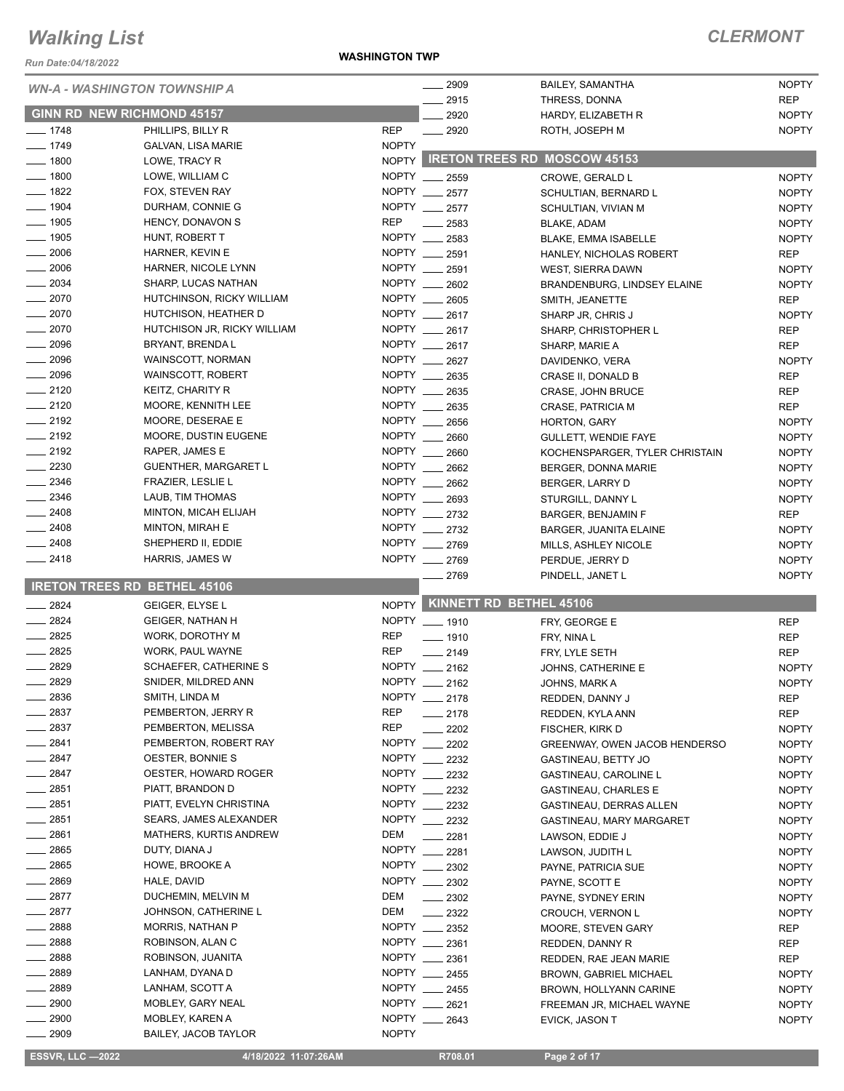*Run Date:04/18/2022*

#### **WASHINGTON TWP**

### *CLERMONT*

|                    | <b>WN-A - WASHINGTON TOWNSHIP A</b>   | $- 2909$                       | <b>BAILEY, SAMANTHA</b>                 | <b>NOPTY</b>                 |
|--------------------|---------------------------------------|--------------------------------|-----------------------------------------|------------------------------|
|                    |                                       | 2915                           | THRESS, DONNA                           | <b>REP</b>                   |
|                    | GINN RD NEW RICHMOND 45157            | 2920                           | HARDY, ELIZABETH R                      | <b>NOPTY</b>                 |
| $- 1748$           | PHILLIPS, BILLY R                     | <b>REP</b><br>$\frac{1}{2920}$ | ROTH, JOSEPH M                          | <b>NOPTY</b>                 |
| $- 1749$           | <b>GALVAN, LISA MARIE</b>             | <b>NOPTY</b>                   |                                         |                              |
| $- 1800$           | LOWE, TRACY R                         |                                | NOPTY RETON TREES RD MOSCOW 45153       |                              |
| $-1800$            | LOWE, WILLIAM C                       | NOPTY __ 2559                  | CROWE, GERALD L                         | <b>NOPTY</b>                 |
| $-1822$            | FOX, STEVEN RAY                       | NOPTY __ 2577                  | SCHULTIAN, BERNARD L                    | <b>NOPTY</b>                 |
| - 1904             | DURHAM, CONNIE G                      | NOPTY _<br>2577                | SCHULTIAN, VIVIAN M                     | <b>NOPTY</b>                 |
| $-1905$            | HENCY, DONAVON S                      | <b>REP</b><br>2583             | <b>BLAKE, ADAM</b>                      | <b>NOPTY</b>                 |
| $-1905$            | HUNT, ROBERT T                        | <b>NOPTY</b><br>2583           | BLAKE, EMMA ISABELLE                    | <b>NOPTY</b>                 |
| 2006               | HARNER, KEVIN E                       | NOPTY __ 2591                  | HANLEY, NICHOLAS ROBERT                 | <b>REP</b>                   |
| 2006               | HARNER, NICOLE LYNN                   | NOPTY __ 2591                  | WEST, SIERRA DAWN                       | <b>NOPTY</b>                 |
| $-2034$            | SHARP, LUCAS NATHAN                   | NOPTY __ 2602                  | BRANDENBURG, LINDSEY ELAINE             | <b>NOPTY</b>                 |
| $-2070$            | HUTCHINSON, RICKY WILLIAM             | NOPTY __ 2605                  | SMITH, JEANETTE                         | <b>REP</b>                   |
| $-2070$            | HUTCHISON, HEATHER D                  | NOPTY __ 2617                  | SHARP JR, CHRIS J                       | <b>NOPTY</b>                 |
| $-2070$            | HUTCHISON JR, RICKY WILLIAM           | NOPTY ___<br>2617              | SHARP, CHRISTOPHER L                    | <b>REP</b>                   |
| $-2096$            | BRYANT, BRENDA L                      | NOPTY __ 2617                  | SHARP, MARIE A                          | <b>REP</b>                   |
| $-2096$            | WAINSCOTT, NORMAN                     | NOPTY __ 2627                  | DAVIDENKO, VERA                         | <b>NOPTY</b>                 |
| 2096               | <b>WAINSCOTT, ROBERT</b>              | NOPTY __ 2635                  | CRASE II, DONALD B                      | <b>REP</b>                   |
| $= 2120$           | KEITZ, CHARITY R                      | NOPTY __ 2635                  | CRASE, JOHN BRUCE                       | <b>REP</b>                   |
| $-2120$            | MOORE, KENNITH LEE                    | NOPTY __<br>2635               | CRASE, PATRICIA M                       | <b>REP</b>                   |
| $-2192$            | MOORE, DESERAE E                      | NOPTY __ 2656                  | HORTON, GARY                            | <b>NOPTY</b>                 |
| $-2192$            | MOORE, DUSTIN EUGENE                  | NOPTY<br>2660                  | <b>GULLETT, WENDIE FAYE</b>             | <b>NOPTY</b>                 |
| $-2192$<br>$-2230$ | RAPER, JAMES E                        | NOPTY __ 2660<br>NOPTY __ 2662 | KOCHENSPARGER, TYLER CHRISTAIN          | <b>NOPTY</b>                 |
| .2346              | <b>GUENTHER, MARGARET L</b>           | NOPTY __                       | BERGER, DONNA MARIE                     | <b>NOPTY</b>                 |
| $-2346$            | FRAZIER, LESLIE L<br>LAUB, TIM THOMAS | 2662<br>NOPTY __ 2693          | BERGER, LARRY D                         | <b>NOPTY</b>                 |
| $-2408$            | MINTON, MICAH ELIJAH                  | NOPTY 2732                     | STURGILL, DANNY L                       | <b>NOPTY</b>                 |
| $-2408$            | MINTON, MIRAH E                       | NOPTY __ 2732                  | BARGER, BENJAMIN F                      | <b>REP</b>                   |
| $-2408$            | SHEPHERD II, EDDIE                    | NOPTY __ 2769                  | <b>BARGER, JUANITA ELAINE</b>           | <b>NOPTY</b><br><b>NOPTY</b> |
| $-2418$            | HARRIS, JAMES W                       | NOPTY __ 2769                  | MILLS, ASHLEY NICOLE<br>PERDUE, JERRY D | <b>NOPTY</b>                 |
|                    |                                       | $-2769$                        | PINDELL, JANET L                        | <b>NOPTY</b>                 |
|                    | <b>IRETON TREES RD BETHEL 45106</b>   |                                |                                         |                              |
| $-2824$            | <b>GEIGER, ELYSE L</b>                |                                | NOPTY KINNETT RD BETHEL 45106           |                              |
| $-2824$            | <b>GEIGER, NATHAN H</b>               | NOPTY __ 1910                  | FRY, GEORGE E                           | <b>REP</b>                   |
| $-2825$            | WORK, DOROTHY M                       | <b>REP</b><br>$- 1910$         | FRY, NINA L                             | <b>REP</b>                   |
| $-2825$            | WORK, PAUL WAYNE                      | <b>REP</b><br>2149             | FRY, LYLE SETH                          | <b>REP</b>                   |
| $- 2829$           | SCHAEFER, CATHERINE S                 | NOPTY __ 2162                  | JOHNS, CATHERINE E                      | <b>NOPTY</b>                 |
| 2829               | SNIDER, MILDRED ANN                   | <b>NOPTY</b><br>2162           | JOHNS, MARK A                           | <b>NOPTY</b>                 |
| 2836               | SMITH, LINDA M                        | NOPTY __ 2178                  | REDDEN, DANNY J                         | <b>REP</b>                   |
| 2837               | PEMBERTON, JERRY R                    | <b>REP</b><br>$-2178$          | REDDEN, KYLA ANN                        | <b>REP</b>                   |
| 2837               | PEMBERTON, MELISSA                    | <b>REP</b><br>2202             | <b>FISCHER, KIRK D</b>                  | <b>NOPTY</b>                 |
| - 2841             | PEMBERTON, ROBERT RAY                 | <b>NOPTY</b><br>2202           | <b>GREENWAY, OWEN JACOB HENDERSO</b>    | <b>NOPTY</b>                 |
| _ 2847             | OESTER, BONNIE S                      | NOPTY __ 2232                  | GASTINEAU, BETTY JO                     | <b>NOPTY</b>                 |
| _ 2847             | OESTER, HOWARD ROGER                  | NOPTY __ 2232                  | <b>GASTINEAU, CAROLINE L</b>            | <b>NOPTY</b>                 |
| $-2851$            | PIATT, BRANDON D                      | NOPTY __ 2232                  | <b>GASTINEAU, CHARLES E</b>             | <b>NOPTY</b>                 |
| __ 2851            | PIATT, EVELYN CHRISTINA               | NOPTY 2232                     | GASTINEAU, DERRAS ALLEN                 | <b>NOPTY</b>                 |
| $-2851$            | <b>SEARS, JAMES ALEXANDER</b>         | NOPTY __ 2232                  | GASTINEAU, MARY MARGARET                | <b>NOPTY</b>                 |
| $-2861$            | MATHERS, KURTIS ANDREW                | DEM<br>2281                    | LAWSON, EDDIE J                         | <b>NOPTY</b>                 |
| __ 2865            | DUTY, DIANA J                         | NOPTY __ 2281                  | LAWSON, JUDITH L                        | <b>NOPTY</b>                 |
| $-2865$            | HOWE, BROOKE A                        | NOPTY __ 2302                  | PAYNE, PATRICIA SUE                     | <b>NOPTY</b>                 |
| _ 2869             | HALE, DAVID                           | NOPTY __ 2302                  | PAYNE, SCOTT E                          | <b>NOPTY</b>                 |
| $-2877$            | DUCHEMIN, MELVIN M                    | DEM<br>$\frac{1}{2}$ 2302      | PAYNE, SYDNEY ERIN                      | <b>NOPTY</b>                 |
| 2877               | JOHNSON, CATHERINE L                  | DEM<br>$\frac{2322}{2}$        | <b>CROUCH, VERNON L</b>                 | <b>NOPTY</b>                 |
| 2888               | <b>MORRIS, NATHAN P</b>               | NOPTY __ 2352                  | MOORE, STEVEN GARY                      | REP                          |
| 2888               | ROBINSON, ALAN C                      | NOPTY __ 2361                  | REDDEN, DANNY R                         | REP                          |
| _ 2888             | ROBINSON, JUANITA                     | NOPTY __ 2361<br>NOPTY __ 2455 | REDDEN, RAE JEAN MARIE                  | <b>REP</b>                   |
| $-2889$<br>2889    | LANHAM, DYANA D                       | NOPTY __ 2455                  | <b>BROWN, GABRIEL MICHAEL</b>           | <b>NOPTY</b>                 |
| 2900               | LANHAM, SCOTT A<br>MOBLEY, GARY NEAL  | NOPTY __ 2621                  | BROWN, HOLLYANN CARINE                  | <b>NOPTY</b>                 |
| 2900               | MOBLEY, KAREN A                       | NOPTY __ 2643                  | FREEMAN JR, MICHAEL WAYNE               | <b>NOPTY</b>                 |
| 2909               | <b>BAILEY, JACOB TAYLOR</b>           | <b>NOPTY</b>                   | EVICK, JASON T                          | <b>NOPTY</b>                 |
|                    |                                       |                                |                                         |                              |

**ESSVR, LLC -2022 4/18/2022 11:07:26AM** R708.01 **Page 2 of 17**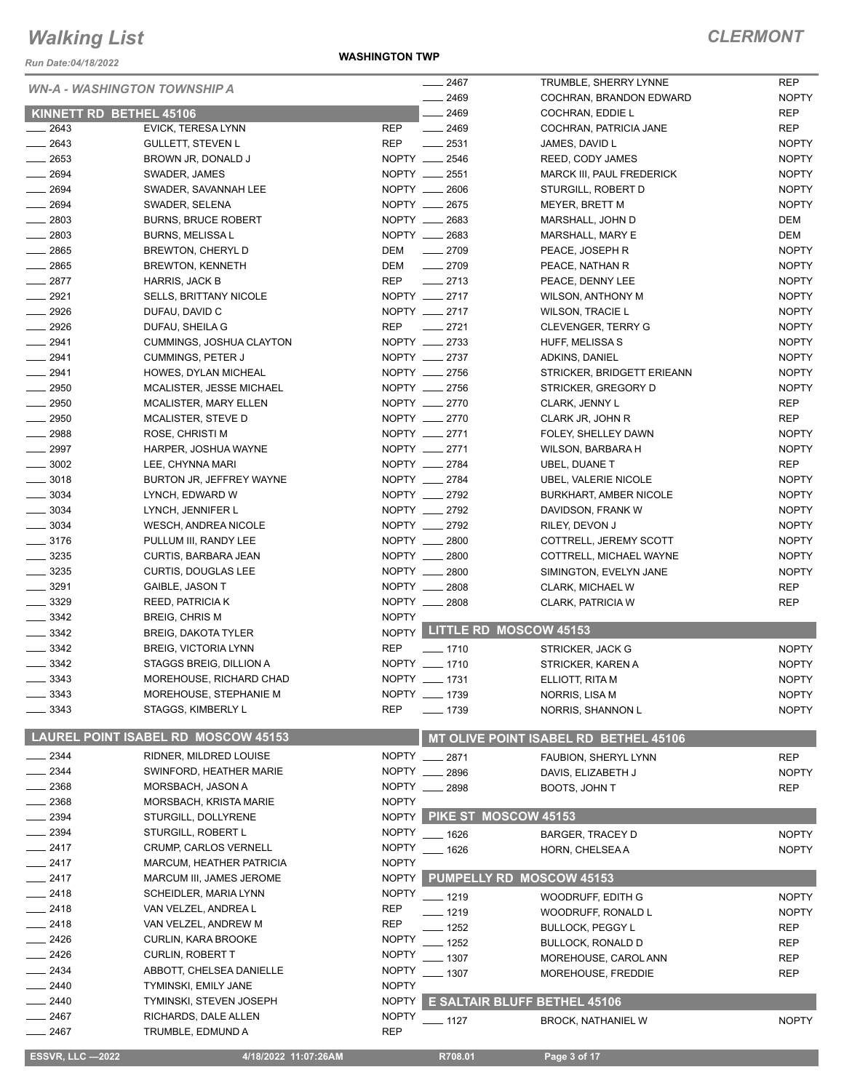*Run Date:04/18/2022*

|                                     |                                            |              | 2467             |                                       | <b>REP</b>   |
|-------------------------------------|--------------------------------------------|--------------|------------------|---------------------------------------|--------------|
| <b>WN-A - WASHINGTON TOWNSHIP A</b> |                                            |              |                  | TRUMBLE, SHERRY LYNNE                 |              |
|                                     |                                            |              | $-2469$          | COCHRAN, BRANDON EDWARD               | <b>NOPTY</b> |
| KINNETT RD BETHEL 45106             |                                            |              | $-2469$          | COCHRAN, EDDIE L                      | <b>REP</b>   |
| $-2643$                             | EVICK, TERESA LYNN                         | REP          | $-2469$          | COCHRAN, PATRICIA JANE                | <b>REP</b>   |
| $-2643$                             | <b>GULLETT, STEVEN L</b>                   | <b>REP</b>   | $-2531$          | JAMES, DAVID L                        | <b>NOPTY</b> |
| $\frac{1}{2653}$                    | BROWN JR, DONALD J                         |              | NOPTY __ 2546    | REED, CODY JAMES                      | <b>NOPTY</b> |
| $-2694$                             | SWADER, JAMES                              |              | NOPTY __ 2551    | MARCK III, PAUL FREDERICK             | <b>NOPTY</b> |
| $- 2694$                            | SWADER, SAVANNAH LEE                       |              | NOPTY __ 2606    | STURGILL, ROBERT D                    | <b>NOPTY</b> |
| 2694                                | SWADER, SELENA                             |              | NOPTY __ 2675    | MEYER, BRETT M                        | <b>NOPTY</b> |
| $-2803$                             | <b>BURNS, BRUCE ROBERT</b>                 |              | NOPTY __ 2683    | MARSHALL, JOHN D                      | DEM          |
| $-2803$                             | <b>BURNS, MELISSA L</b>                    |              | NOPTY __ 2683    | MARSHALL, MARY E                      | <b>DEM</b>   |
| $\frac{1}{2865}$                    | BREWTON, CHERYL D                          | DEM          | $-2709$          | PEACE, JOSEPH R                       | <b>NOPTY</b> |
| $-2865$                             | <b>BREWTON, KENNETH</b>                    | DEM          | $-2709$          | PEACE, NATHAN R                       | <b>NOPTY</b> |
| $-2877$                             | <b>HARRIS, JACK B</b>                      | <b>REP</b>   | $-2713$          | PEACE, DENNY LEE                      | <b>NOPTY</b> |
| $-2921$                             | <b>SELLS, BRITTANY NICOLE</b>              |              | NOPTY __ 2717    | <b>WILSON, ANTHONY M</b>              | <b>NOPTY</b> |
| 2926                                | DUFAU, DAVID C                             |              | NOPTY __ 2717    | <b>WILSON, TRACIE L</b>               | <b>NOPTY</b> |
| 2926                                | DUFAU, SHEILA G                            | <b>REP</b>   | $\frac{1}{2721}$ | <b>CLEVENGER, TERRY G</b>             | <b>NOPTY</b> |
| $-2941$                             |                                            |              | NOPTY __ 2733    |                                       | <b>NOPTY</b> |
| 2941                                | CUMMINGS, JOSHUA CLAYTON                   |              | NOPTY __ 2737    | HUFF, MELISSA S                       |              |
|                                     | <b>CUMMINGS, PETER J</b>                   |              |                  | ADKINS, DANIEL                        | <b>NOPTY</b> |
| $-2941$                             | HOWES, DYLAN MICHEAL                       |              | NOPTY __ 2756    | STRICKER, BRIDGETT ERIEANN            | <b>NOPTY</b> |
| $\frac{1}{2950}$                    | MCALISTER, JESSE MICHAEL                   |              | NOPTY __ 2756    | STRICKER, GREGORY D                   | <b>NOPTY</b> |
| $\frac{1}{2950}$                    | <b>MCALISTER, MARY ELLEN</b>               |              | NOPTY __ 2770    | CLARK, JENNY L                        | <b>REP</b>   |
| $- 2950$                            | MCALISTER, STEVE D                         |              | NOPTY __ 2770    | CLARK JR, JOHN R                      | <b>REP</b>   |
| $-2988$                             | ROSE, CHRISTI M                            |              | NOPTY __ 2771    | FOLEY, SHELLEY DAWN                   | <b>NOPTY</b> |
| $\frac{1}{2997}$                    | HARPER, JOSHUA WAYNE                       |              | NOPTY __ 2771    | WILSON, BARBARA H                     | <b>NOPTY</b> |
| $\frac{1}{2}$ 3002                  | LEE, CHYNNA MARI                           |              | NOPTY __ 2784    | UBEL, DUANE T                         | <b>REP</b>   |
| $\frac{1}{2}$ 3018                  | BURTON JR, JEFFREY WAYNE                   |              | NOPTY __ 2784    | <b>UBEL, VALERIE NICOLE</b>           | <b>NOPTY</b> |
| $\frac{1}{2}$ 3034                  | LYNCH, EDWARD W                            |              | NOPTY __ 2792    | <b>BURKHART, AMBER NICOLE</b>         | <b>NOPTY</b> |
| $\frac{1}{2}$ 3034                  | LYNCH, JENNIFER L                          |              | NOPTY __ 2792    | DAVIDSON, FRANK W                     | <b>NOPTY</b> |
| $\frac{1}{2}$ 3034                  | <b>WESCH, ANDREA NICOLE</b>                |              | NOPTY __ 2792    | RILEY, DEVON J                        | <b>NOPTY</b> |
| $\frac{1}{2}$ 3176                  | PULLUM III, RANDY LEE                      |              | NOPTY __ 2800    | COTTRELL, JEREMY SCOTT                | <b>NOPTY</b> |
| $- 3235$                            | CURTIS, BARBARA JEAN                       |              | NOPTY __ 2800    | COTTRELL, MICHAEL WAYNE               | <b>NOPTY</b> |
| $\frac{1}{2}$ 3235                  |                                            |              | NOPTY __ 2800    |                                       |              |
|                                     | <b>CURTIS, DOUGLAS LEE</b>                 |              |                  | SIMINGTON, EVELYN JANE                | <b>NOPTY</b> |
| $- 3291$                            | GAIBLE, JASON T                            |              | NOPTY __ 2808    | CLARK, MICHAEL W                      | <b>REP</b>   |
| $- 3329$                            | <b>REED, PATRICIA K</b>                    |              | NOPTY __ 2808    | CLARK, PATRICIA W                     | <b>REP</b>   |
| $\frac{3342}{2}$                    | <b>BREIG, CHRIS M</b>                      | <b>NOPTY</b> |                  |                                       |              |
| $\frac{1}{2}$ 3342                  | <b>BREIG, DAKOTA TYLER</b>                 |              |                  | NOPTY LITTLE RD MOSCOW 45153          |              |
| $\frac{3342}{2}$                    | <b>BREIG, VICTORIA LYNN</b>                | <b>REP</b>   | $- 1710$         | STRICKER, JACK G                      | <b>NOPTY</b> |
| $\frac{3342}{2}$                    | STAGGS BREIG, DILLION A                    |              | NOPTY __ 1710    | STRICKER, KAREN A                     | <b>NOPTY</b> |
| $-3343$                             | MOREHOUSE, RICHARD CHAD                    |              | NOPTY __ 1731    | ELLIOTT, RITA M                       | <b>NOPTY</b> |
| 3343                                | MOREHOUSE, STEPHANIE M                     |              | NOPTY __ 1739    | NORRIS, LISA M                        | <b>NOPTY</b> |
| 3343                                | STAGGS, KIMBERLY L                         | <b>REP</b>   | ___ 1739         | NORRIS, SHANNON L                     | <b>NOPTY</b> |
|                                     |                                            |              |                  |                                       |              |
|                                     | <b>LAUREL POINT ISABEL RD MOSCOW 45153</b> |              |                  | MT OLIVE POINT ISABEL RD BETHEL 45106 |              |
| 2344                                | RIDNER, MILDRED LOUISE                     |              | NOPTY __ 2871    | FAUBION, SHERYL LYNN                  | <b>REP</b>   |
| 2344                                | SWINFORD, HEATHER MARIE                    |              | NOPTY __ 2896    | DAVIS, ELIZABETH J                    | <b>NOPTY</b> |
| 2368                                | MORSBACH, JASON A                          |              | NOPTY __ 2898    | BOOTS, JOHN T                         | REP          |
| 2368                                | MORSBACH, KRISTA MARIE                     | <b>NOPTY</b> |                  |                                       |              |
| 2394                                | STURGILL, DOLLYRENE                        |              |                  | NOPTY PIKE ST MOSCOW 45153            |              |
| 2394                                | STURGILL, ROBERT L                         | <b>NOPTY</b> |                  |                                       |              |
| $-2417$                             | <b>CRUMP, CARLOS VERNELL</b>               | <b>NOPTY</b> | ___ 1626         | <b>BARGER, TRACEY D</b>               | <b>NOPTY</b> |
|                                     |                                            | <b>NOPTY</b> | $- 1626$         | HORN, CHELSEA A                       | <b>NOPTY</b> |
| $-2417$                             | <b>MARCUM, HEATHER PATRICIA</b>            |              |                  |                                       |              |
| 2417                                | MARCUM III, JAMES JEROME                   |              |                  | NOPTY PUMPELLY RD MOSCOW 45153        |              |
| 2418                                | SCHEIDLER, MARIA LYNN                      | <b>NOPTY</b> | _ 1219           | WOODRUFF, EDITH G                     | <b>NOPTY</b> |
| 2418                                | VAN VELZEL, ANDREA L                       | <b>REP</b>   | $-1219$          | WOODRUFF, RONALD L                    | <b>NOPTY</b> |
| $-2418$                             | VAN VELZEL, ANDREW M                       | <b>REP</b>   | _ 1252           | <b>BULLOCK, PEGGY L</b>               | <b>REP</b>   |
| 2426                                | CURLIN, KARA BROOKE                        | <b>NOPTY</b> | - 1252           | <b>BULLOCK, RONALD D</b>              | <b>REP</b>   |
| 2426                                | <b>CURLIN, ROBERT T</b>                    | <b>NOPTY</b> | $-1307$          | MOREHOUSE, CAROL ANN                  | <b>REP</b>   |
| 2434                                | ABBOTT, CHELSEA DANIELLE                   | <b>NOPTY</b> | $-1307$          | MOREHOUSE, FREDDIE                    | REP          |
| 2440                                | TYMINSKI, EMILY JANE                       | <b>NOPTY</b> |                  |                                       |              |
| $-2440$                             | TYMINSKI, STEVEN JOSEPH                    | <b>NOPTY</b> |                  | <b>E SALTAIR BLUFF BETHEL 45106</b>   |              |
| 2467                                | RICHARDS, DALE ALLEN                       | <b>NOPTY</b> |                  |                                       |              |
| $=$ 2467                            | TRUMBLE, EDMUND A                          | <b>REP</b>   | _ 1127           | <b>BROCK, NATHANIEL W</b>             | <b>NOPTY</b> |
|                                     |                                            |              |                  |                                       |              |
| <b>ESSVR, LLC -2022</b>             | 4/18/2022 11:07:26AM                       |              | R708.01          | Page 3 of 17                          |              |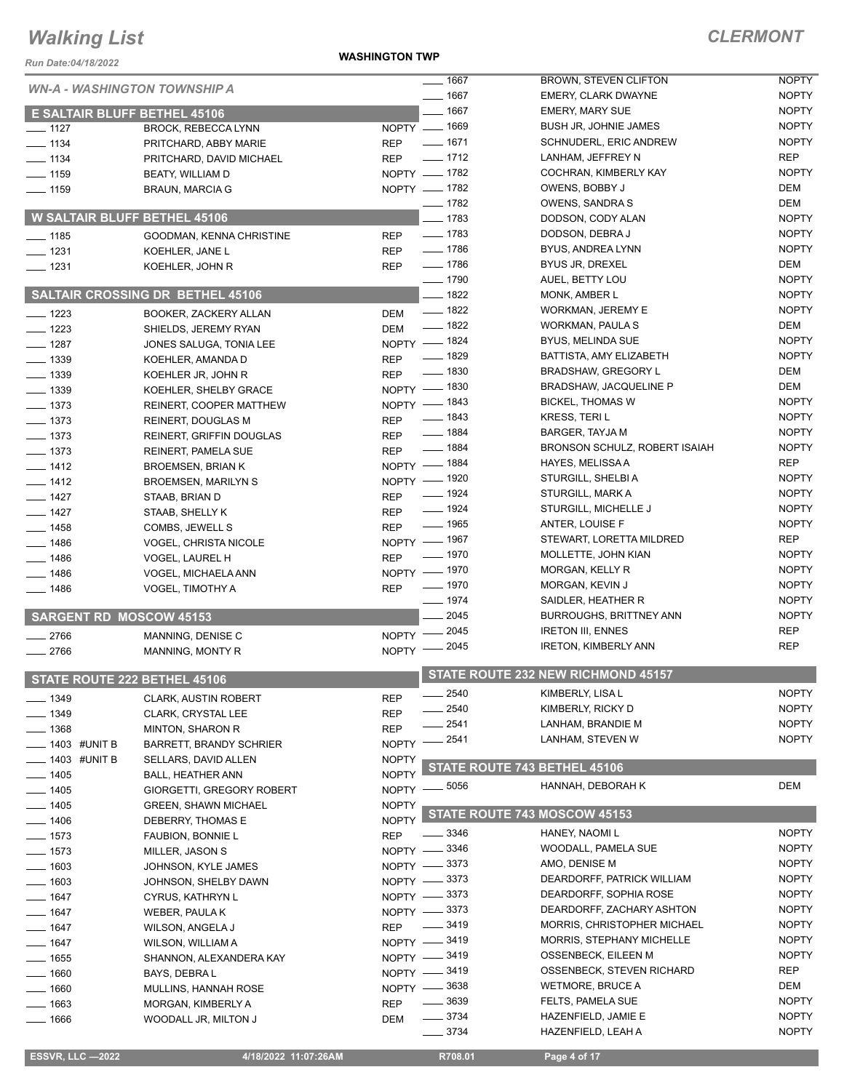*Run Date:04/18/2022*

**WASHINGTON TWP**

### *CLERMONT*

|                                     | <b>WN-A - WASHINGTON TOWNSHIP A</b>     |                            | $- 1667$           | BROWN, STEVEN CLIFTON                | <b>NOPTY</b> |
|-------------------------------------|-----------------------------------------|----------------------------|--------------------|--------------------------------------|--------------|
|                                     |                                         |                            | $- 1667$           | <b>EMERY, CLARK DWAYNE</b>           | <b>NOPTY</b> |
| <b>E SALTAIR BLUFF BETHEL 45106</b> |                                         |                            | $- 1667$           | <b>EMERY, MARY SUE</b>               | <b>NOPTY</b> |
| $- 1127$                            | <b>BROCK, REBECCA LYNN</b>              | NOPTY - 1669               |                    | <b>BUSH JR, JOHNIE JAMES</b>         | <b>NOPTY</b> |
| $- 1134$                            | PRITCHARD, ABBY MARIE                   | <b>REP</b>                 | $- 1671$           | SCHNUDERL, ERIC ANDREW               | <b>NOPTY</b> |
| $- 1134$                            | PRITCHARD, DAVID MICHAEL                | <b>REP</b>                 | $- 1712$           | LANHAM, JEFFREY N                    | <b>REP</b>   |
| $- 1159$                            | BEATY, WILLIAM D                        | NOPTY - 1782               |                    | COCHRAN, KIMBERLY KAY                | <b>NOPTY</b> |
| $- 1159$                            | <b>BRAUN, MARCIA G</b>                  | NOPTY - 1782               |                    | OWENS, BOBBY J                       | DEM          |
|                                     |                                         |                            | $- 1782$           | OWENS, SANDRA S                      | DEM          |
| <b>W SALTAIR BLUFF BETHEL 45106</b> |                                         |                            | $- 1783$           | DODSON, CODY ALAN                    | <b>NOPTY</b> |
| $- 1185$                            | GOODMAN, KENNA CHRISTINE                | <b>REP</b>                 | $- 1783$           | DODSON, DEBRA J                      | <b>NOPTY</b> |
| $- 1231$                            | KOEHLER, JANE L                         | <b>REP</b>                 | $- 1786$           | BYUS, ANDREA LYNN                    | <b>NOPTY</b> |
| $- 1231$                            | KOEHLER, JOHN R                         | <b>REP</b>                 | $- 1786$           | BYUS JR, DREXEL                      | DEM          |
|                                     |                                         |                            | $- 1790$           | AUEL, BETTY LOU                      | <b>NOPTY</b> |
|                                     | <b>SALTAIR CROSSING DR BETHEL 45106</b> |                            | $- 1822$           | MONK, AMBER L                        | <b>NOPTY</b> |
|                                     |                                         |                            | $- 1822$           | WORKMAN, JEREMY E                    | <b>NOPTY</b> |
| $- 1223$                            | BOOKER, ZACKERY ALLAN                   | DEM                        | $- 1822$           | WORKMAN, PAULA S                     | DEM          |
| $- 1223$                            | SHIELDS, JEREMY RYAN                    | <b>DEM</b><br>NOPTY - 1824 |                    | <b>BYUS, MELINDA SUE</b>             | <b>NOPTY</b> |
| $- 1287$                            | JONES SALUGA, TONIA LEE                 |                            | <u>_</u> __ 1829   | BATTISTA, AMY ELIZABETH              | <b>NOPTY</b> |
| $\frac{1}{2}$ 1339                  | KOEHLER, AMANDA D                       | <b>REP</b>                 | $- 1830$           | <b>BRADSHAW, GREGORY L</b>           | DEM          |
| $\frac{1}{2}$ 1339                  | KOEHLER JR, JOHN R                      | <b>REP</b>                 |                    | <b>BRADSHAW, JACQUELINE P</b>        | DEM          |
| $- 1339$                            | KOEHLER, SHELBY GRACE                   | NOPTY - 1830               |                    |                                      | <b>NOPTY</b> |
| $- 1373$                            | REINERT, COOPER MATTHEW                 | NOPTY - 1843               | $- 1843$           | <b>BICKEL, THOMAS W</b>              | <b>NOPTY</b> |
| $- 1373$                            | REINERT, DOUGLAS M                      | <b>REP</b>                 |                    | <b>KRESS, TERIL</b>                  |              |
| $- 1373$                            | <b>REINERT, GRIFFIN DOUGLAS</b>         | <b>REP</b>                 | $- 1884$           | <b>BARGER, TAYJA M</b>               | <b>NOPTY</b> |
| $- 1373$                            | REINERT, PAMELA SUE                     | <b>REP</b>                 | $- 1884$           | <b>BRONSON SCHULZ, ROBERT ISAIAH</b> | <b>NOPTY</b> |
| $- 1412$                            | <b>BROEMSEN, BRIAN K</b>                | NOPTY - 1884               |                    | HAYES, MELISSA A                     | <b>REP</b>   |
| $- 1412$                            | <b>BROEMSEN, MARILYN S</b>              | NOPTY - 1920               |                    | STURGILL, SHELBI A                   | <b>NOPTY</b> |
| $- 1427$                            | STAAB, BRIAN D                          | <b>REP</b>                 | $\frac{1}{2}$ 1924 | STURGILL, MARK A                     | <b>NOPTY</b> |
| $- 1427$                            | STAAB, SHELLY K                         | <b>REP</b>                 | $\frac{1}{2}$ 1924 | STURGILL, MICHELLE J                 | <b>NOPTY</b> |
| $- 1458$                            | COMBS, JEWELL S                         | <b>REP</b>                 | $\frac{1}{2}$ 1965 | ANTER, LOUISE F                      | <b>NOPTY</b> |
| $- 1486$                            | <b>VOGEL, CHRISTA NICOLE</b>            | NOPTY - 1967               |                    | STEWART, LORETTA MILDRED             | <b>REP</b>   |
| $- 1486$                            | VOGEL, LAUREL H                         | <b>REP</b>                 | _ 1970             | MOLLETTE, JOHN KIAN                  | <b>NOPTY</b> |
| $- 1486$                            | VOGEL, MICHAELA ANN                     | NOPTY - 1970               |                    | MORGAN, KELLY R                      | <b>NOPTY</b> |
| $- 1486$                            | VOGEL, TIMOTHY A                        | <b>REP</b>                 | $- 1970$           | MORGAN, KEVIN J                      | <b>NOPTY</b> |
|                                     |                                         |                            | $- 1974$           | SAIDLER, HEATHER R                   | <b>NOPTY</b> |
| <b>SARGENT RD MOSCOW 45153</b>      |                                         |                            | 2045               | <b>BURROUGHS, BRITTNEY ANN</b>       | <b>NOPTY</b> |
| $-2766$                             | MANNING, DENISE C                       | NOPTY - 2045               |                    | <b>IRETON III, ENNES</b>             | <b>REP</b>   |
| $-2766$                             | MANNING, MONTY R                        | NOPTY - 2045               |                    | <b>IRETON, KIMBERLY ANN</b>          | <b>REP</b>   |
|                                     |                                         |                            |                    | STATE ROUTE 232 NEW RICHMOND 45157   |              |
| STATE ROUTE 222 BETHEL 45106        |                                         |                            |                    |                                      |              |
| $\frac{1}{2}$ 1349                  | <b>CLARK, AUSTIN ROBERT</b>             | <b>REP</b>                 | 2540               | KIMBERLY, LISA L                     | <b>NOPTY</b> |
| __ 1349                             | <b>CLARK, CRYSTAL LEE</b>               | <b>REP</b>                 | 2540               | KIMBERLY, RICKY D                    | <b>NOPTY</b> |
| $-1368$                             | MINTON, SHARON R                        | <b>REP</b>                 | 2541               | LANHAM, BRANDIE M                    | <b>NOPTY</b> |
| $=$ 1403 #UNIT B                    | <b>BARRETT, BRANDY SCHRIER</b>          | <b>NOPTY</b>               | $=$ 2541           | LANHAM, STEVEN W                     | <b>NOPTY</b> |
| __ 1403 #UNIT B                     | SELLARS, DAVID ALLEN                    | <b>NOPTY</b>               |                    |                                      |              |
| $- 1405$                            | <b>BALL, HEATHER ANN</b>                | <b>NOPTY</b>               |                    | STATE ROUTE 743 BETHEL 45106         |              |
| $- 1405$                            | GIORGETTI, GREGORY ROBERT               | NOPTY -                    | __ 5056            | HANNAH, DEBORAH K                    | DEM          |
| ____ 1405                           | <b>GREEN, SHAWN MICHAEL</b>             | <b>NOPTY</b>               |                    |                                      |              |
| —— 1406                             | DEBERRY, THOMAS E                       | <b>NOPTY</b>               |                    | STATE ROUTE 743 MOSCOW 45153         |              |
| ___ 1573                            | FAUBION, BONNIE L                       | <b>REP</b>                 | $-3346$            | HANEY, NAOMI L                       | <b>NOPTY</b> |
| $- 1573$                            | MILLER, JASON S                         | NOPTY -                    | _ 3346             | WOODALL, PAMELA SUE                  | <b>NOPTY</b> |
| $- 1603$                            | JOHNSON, KYLE JAMES                     | NOPTY -8373                |                    | AMO, DENISE M                        | <b>NOPTY</b> |
| $- 1603$                            | JOHNSON, SHELBY DAWN                    | $NOPTY -$                  | _ 3373             | DEARDORFF, PATRICK WILLIAM           | <b>NOPTY</b> |
| —— 1647                             | CYRUS, KATHRYN L                        | NOPTY -8373                |                    | DEARDORFF, SOPHIA ROSE               | <b>NOPTY</b> |
| $- 1647$                            | WEBER, PAULA K                          | NOPTY -8373                |                    | DEARDORFF, ZACHARY ASHTON            | <b>NOPTY</b> |
| ___ 1647                            | WILSON, ANGELA J                        | <b>REP</b>                 | $-3419$            | <b>MORRIS, CHRISTOPHER MICHAEL</b>   | <b>NOPTY</b> |
| _ 1647                              | WILSON, WILLIAM A                       | NOPTY -8419                |                    | <b>MORRIS, STEPHANY MICHELLE</b>     | <b>NOPTY</b> |
| $-1655$                             | SHANNON, ALEXANDERA KAY                 | NOPTY -8419                |                    | OSSENBECK, EILEEN M                  | <b>NOPTY</b> |
| _ 1660                              | BAYS, DEBRAL                            | NOPTY -8419                |                    | OSSENBECK, STEVEN RICHARD            | <b>REP</b>   |
| __ 1660                             | MULLINS, HANNAH ROSE                    | NOPTY -8638                |                    | <b>WETMORE, BRUCE A</b>              | DEM          |
| $- 1663$                            | MORGAN, KIMBERLY A                      | <b>REP</b>                 | _ 3639             | FELTS, PAMELA SUE                    | <b>NOPTY</b> |
|                                     |                                         | <b>DEM</b>                 | $- 3734$           | HAZENFIELD, JAMIE E                  | <b>NOPTY</b> |
| ___ 1666                            | WOODALL JR, MILTON J                    |                            | 3734               | HAZENFIELD, LEAH A                   | <b>NOPTY</b> |
|                                     |                                         |                            |                    |                                      |              |

**ESSVR, LLC —2022 4/18/2022 11:07:26AM** R708.01 **Page 4 of 17**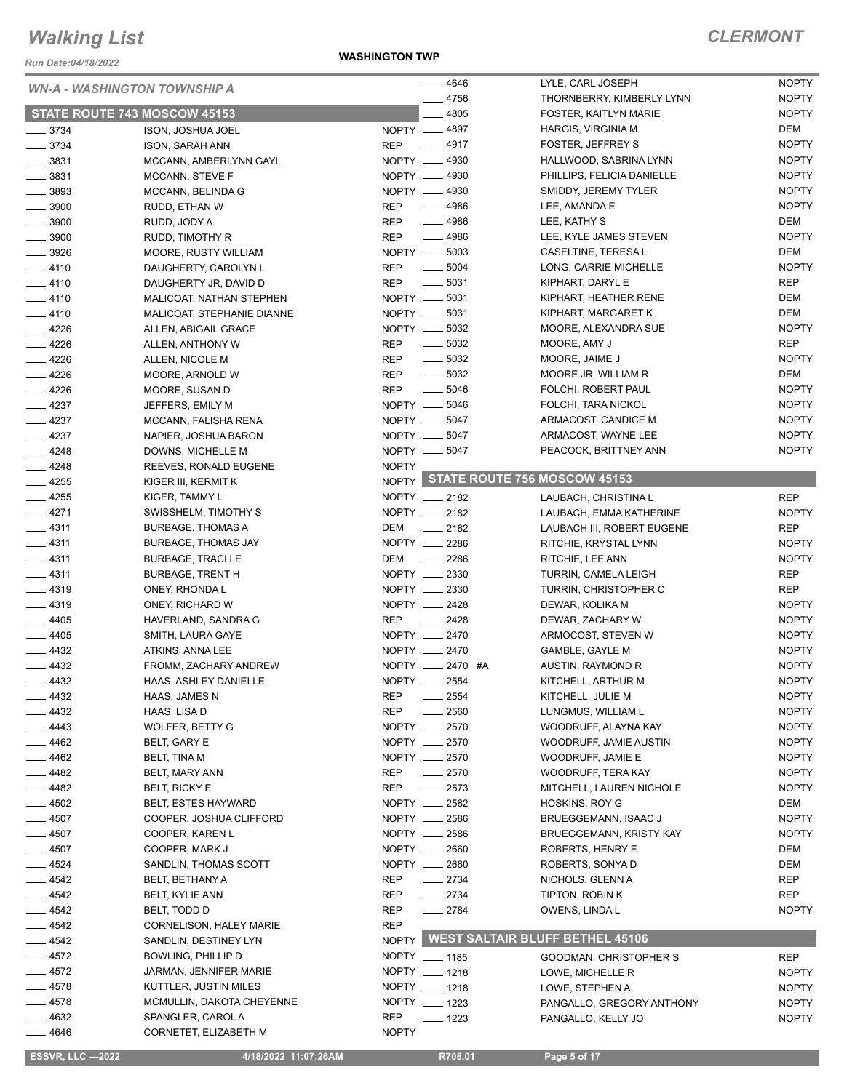*Run Date:04/18/2022*

#### **WASHINGTON TWP**

| <b>WN-A - WASHINGTON TOWNSHIP A</b><br>STATE ROUTE 743 MOSCOW 45153 |                                                  | $- 4646$     | LYLE, CARL JOSEPH                 | <b>NOPTY</b>                                   |                            |
|---------------------------------------------------------------------|--------------------------------------------------|--------------|-----------------------------------|------------------------------------------------|----------------------------|
|                                                                     |                                                  | $-4756$      | THORNBERRY, KIMBERLY LYNN         | <b>NOPTY</b>                                   |                            |
|                                                                     |                                                  |              | 4805                              | FOSTER, KAITLYN MARIE                          | <b>NOPTY</b>               |
| $\frac{1}{2}$ 3734<br>$- 3734$                                      | ISON, JOSHUA JOEL                                |              | NOPTY __ 4897<br>$-4917$          | <b>HARGIS, VIRGINIA M</b><br>FOSTER, JEFFREY S | DEM<br><b>NOPTY</b>        |
| $\frac{1}{2}$ 3831                                                  | <b>ISON, SARAH ANN</b><br>MCCANN, AMBERLYNN GAYL | <b>REP</b>   | NOPTY - 4930                      | HALLWOOD, SABRINA LYNN                         | <b>NOPTY</b>               |
| $\frac{1}{2}$ 3831                                                  | MCCANN, STEVE F                                  |              | NOPTY __ 4930                     | PHILLIPS, FELICIA DANIELLE                     | <b>NOPTY</b>               |
| $\frac{1}{2}$ 3893                                                  | MCCANN, BELINDA G                                |              | NOPTY -4930                       | SMIDDY, JEREMY TYLER                           | <b>NOPTY</b>               |
| $\frac{1}{2}$ 3900                                                  | RUDD, ETHAN W                                    | <b>REP</b>   | $- 4986$                          | LEE, AMANDA E                                  | <b>NOPTY</b>               |
| $\frac{1}{2}$ 3900                                                  | RUDD, JODY A                                     | <b>REP</b>   | $-4986$                           | LEE, KATHY S                                   | DEM                        |
| $\frac{1}{2}$ 3900                                                  | RUDD, TIMOTHY R                                  | <b>REP</b>   | $- 4986$                          | LEE, KYLE JAMES STEVEN                         | <b>NOPTY</b>               |
| $\frac{1}{2}$ 3926                                                  | MOORE, RUSTY WILLIAM                             |              | NOPTY __ 5003                     | CASELTINE, TERESA L                            | DEM                        |
| $-4110$                                                             | DAUGHERTY, CAROLYN L                             | REP          | $\frac{1}{2}$ 5004                | LONG, CARRIE MICHELLE                          | <b>NOPTY</b>               |
| $-4110$                                                             | DAUGHERTY JR, DAVID D                            | <b>REP</b>   | $\frac{1}{2}$ 5031                | KIPHART, DARYL E                               | <b>REP</b>                 |
| $-4110$                                                             | MALICOAT, NATHAN STEPHEN                         |              | NOPTY __ 5031                     | KIPHART, HEATHER RENE                          | DEM                        |
| $-4110$                                                             | MALICOAT, STEPHANIE DIANNE                       |              | NOPTY __ 5031                     | KIPHART, MARGARET K                            | DEM                        |
| 4226                                                                | ALLEN, ABIGAIL GRACE                             |              | NOPTY __ 5032                     | MOORE, ALEXANDRA SUE                           | <b>NOPTY</b>               |
| $-4226$                                                             | ALLEN, ANTHONY W                                 | <b>REP</b>   | $\frac{1}{2}$ 5032                | MOORE, AMY J                                   | <b>REP</b>                 |
| $-4226$                                                             | ALLEN, NICOLE M                                  | <b>REP</b>   | $\frac{1}{2}$ 5032                | MOORE, JAIME J                                 | <b>NOPTY</b>               |
| $-4226$                                                             | MOORE, ARNOLD W                                  | <b>REP</b>   | $\frac{1}{2}$ 5032                | MOORE JR, WILLIAM R                            | DEM                        |
| $-4226$                                                             | MOORE, SUSAN D                                   | <b>REP</b>   | $\frac{1}{2}$ 5046                | FOLCHI, ROBERT PAUL                            | <b>NOPTY</b>               |
| $-4237$                                                             | JEFFERS, EMILY M                                 |              | NOPTY __ 5046                     | FOLCHI, TARA NICKOL                            | <b>NOPTY</b>               |
| $-4237$                                                             | MCCANN, FALISHA RENA                             |              | NOPTY __ 5047                     | ARMACOST, CANDICE M                            | <b>NOPTY</b>               |
| $-4237$                                                             | NAPIER, JOSHUA BARON                             |              | NOPTY __ 5047                     | ARMACOST, WAYNE LEE                            | <b>NOPTY</b>               |
| $-4248$                                                             | DOWNS, MICHELLE M                                |              | NOPTY __ 5047                     | PEACOCK, BRITTNEY ANN                          | <b>NOPTY</b>               |
| $-4248$                                                             | REEVES, RONALD EUGENE                            | <b>NOPTY</b> |                                   | NOPTY STATE ROUTE 756 MOSCOW 45153             |                            |
| $-4255$                                                             | KIGER III, KERMIT K                              |              |                                   |                                                |                            |
| $-4255$                                                             | KIGER, TAMMY L                                   |              | NOPTY __ 2182                     | LAUBACH, CHRISTINA L                           | <b>REP</b>                 |
| $-4271$                                                             | SWISSHELM, TIMOTHY S                             |              | NOPTY __ 2182                     | LAUBACH, EMMA KATHERINE                        | <b>NOPTY</b>               |
| $-4311$                                                             | <b>BURBAGE, THOMAS A</b>                         | DEM          | $\sim$ 2182                       | LAUBACH III, ROBERT EUGENE                     | <b>REP</b>                 |
| $-4311$<br>4311                                                     | BURBAGE, THOMAS JAY                              | <b>DEM</b>   | NOPTY __ 2286                     | RITCHIE, KRYSTAL LYNN                          | <b>NOPTY</b>               |
| $-4311$                                                             | <b>BURBAGE, TRACI LE</b>                         |              | $\frac{1}{2286}$<br>NOPTY __ 2330 | RITCHIE, LEE ANN<br>TURRIN, CAMELA LEIGH       | <b>NOPTY</b><br><b>REP</b> |
| $-4319$                                                             | <b>BURBAGE, TRENT H</b><br>ONEY, RHONDA L        |              | NOPTY __ 2330                     | TURRIN, CHRISTOPHER C                          | <b>REP</b>                 |
| $-4319$                                                             | ONEY, RICHARD W                                  |              | NOPTY __ 2428                     | DEWAR, KOLIKA M                                | <b>NOPTY</b>               |
| $- 4405$                                                            | HAVERLAND, SANDRA G                              | <b>REP</b>   | $\frac{1}{2428}$                  | DEWAR, ZACHARY W                               | <b>NOPTY</b>               |
| $-4405$                                                             | SMITH, LAURA GAYE                                |              | NOPTY __ 2470                     | ARMOCOST, STEVEN W                             | <b>NOPTY</b>               |
| $-4432$                                                             | ATKINS, ANNA LEE                                 |              | NOPTY __ 2470                     | GAMBLE, GAYLE M                                | <b>NOPTY</b>               |
| $- 4432$                                                            | FROMM, ZACHARY ANDREW                            |              | NOPTY __ 2470 #A                  | AUSTIN, RAYMOND R                              | <b>NOPTY</b>               |
| $-4432$                                                             | HAAS, ASHLEY DANIELLE                            |              | NOPTY __ 2554                     | KITCHELL, ARTHUR M                             | <b>NOPTY</b>               |
| 4432                                                                | HAAS, JAMES N                                    | <b>REP</b>   | _ 2554                            | KITCHELL, JULIE M                              | <b>NOPTY</b>               |
| 4432                                                                | HAAS, LISA D                                     | <b>REP</b>   | 2560                              | LUNGMUS, WILLIAM L                             | <b>NOPTY</b>               |
| 4443                                                                | <b>WOLFER, BETTY G</b>                           |              | NOPTY __ 2570                     | WOODRUFF, ALAYNA KAY                           | <b>NOPTY</b>               |
| 4462                                                                | BELT, GARY E                                     |              | NOPTY __ 2570                     | WOODRUFF, JAMIE AUSTIN                         | <b>NOPTY</b>               |
| _ 4462                                                              | BELT, TINA M                                     |              | NOPTY __ 2570                     | WOODRUFF, JAMIE E                              | <b>NOPTY</b>               |
| $-4482$                                                             | BELT, MARY ANN                                   | REP          | $-2570$                           | WOODRUFF, TERA KAY                             | <b>NOPTY</b>               |
| _ 4482                                                              | BELT, RICKY E                                    | REP          | $-2573$                           | MITCHELL, LAUREN NICHOLE                       | <b>NOPTY</b>               |
| $-4502$                                                             | <b>BELT, ESTES HAYWARD</b>                       |              | NOPTY __ 2582                     | <b>HOSKINS, ROY G</b>                          | DEM                        |
| $-4507$                                                             | COOPER, JOSHUA CLIFFORD                          |              | NOPTY __ 2586                     | BRUEGGEMANN, ISAAC J                           | <b>NOPTY</b>               |
| 4507                                                                | COOPER, KAREN L                                  |              | NOPTY __ 2586                     | <b>BRUEGGEMANN, KRISTY KAY</b>                 | <b>NOPTY</b>               |
| 4507                                                                | COOPER, MARK J                                   |              | NOPTY __ 2660                     | ROBERTS, HENRY E                               | DEM                        |
| 4524                                                                | SANDLIN, THOMAS SCOTT                            |              | NOPTY __ 2660                     | ROBERTS, SONYA D                               | DEM                        |
| $-4542$                                                             | BELT, BETHANY A                                  | REP          | $-2734$                           | NICHOLS, GLENN A                               | <b>REP</b>                 |
| 4542                                                                | BELT, KYLIE ANN                                  | <b>REP</b>   | $-2734$                           | TIPTON, ROBIN K                                | <b>REP</b>                 |
| 4542                                                                | BELT, TODD D                                     | <b>REP</b>   | $-2784$                           | OWENS, LINDA L                                 | <b>NOPTY</b>               |
| 4542                                                                | CORNELISON, HALEY MARIE                          | <b>REP</b>   |                                   | <b>WEST SALTAIR BLUFF BETHEL 45106</b>         |                            |
| 4542                                                                | SANDLIN, DESTINEY LYN                            | <b>NOPTY</b> |                                   |                                                |                            |
| $=$ 4572                                                            | BOWLING, PHILLIP D                               |              | NOPTY __ 1185                     | GOODMAN, CHRISTOPHER S                         | <b>REP</b>                 |
| $-4572$                                                             | JARMAN, JENNIFER MARIE                           |              | NOPTY __ 1218<br>NOPTY __ 1218    | LOWE, MICHELLE R                               | <b>NOPTY</b>               |
| $=$ 4578<br>$-4578$                                                 | KUTTLER, JUSTIN MILES                            |              | NOPTY __ 1223                     | LOWE, STEPHEN A                                | <b>NOPTY</b>               |
| 4632                                                                | MCMULLIN, DAKOTA CHEYENNE<br>SPANGLER, CAROL A   | <b>REP</b>   |                                   | PANGALLO, GREGORY ANTHONY                      | <b>NOPTY</b>               |
| —— 4646                                                             | CORNETET, ELIZABETH M                            | <b>NOPTY</b> | $- 1223$                          | PANGALLO, KELLY JO                             | <b>NOPTY</b>               |
|                                                                     |                                                  |              |                                   |                                                |                            |
| <b>ESSVR, LLC -2022</b>                                             | 4/18/2022 11:07:26AM                             |              | R708.01                           | Page 5 of 17                                   |                            |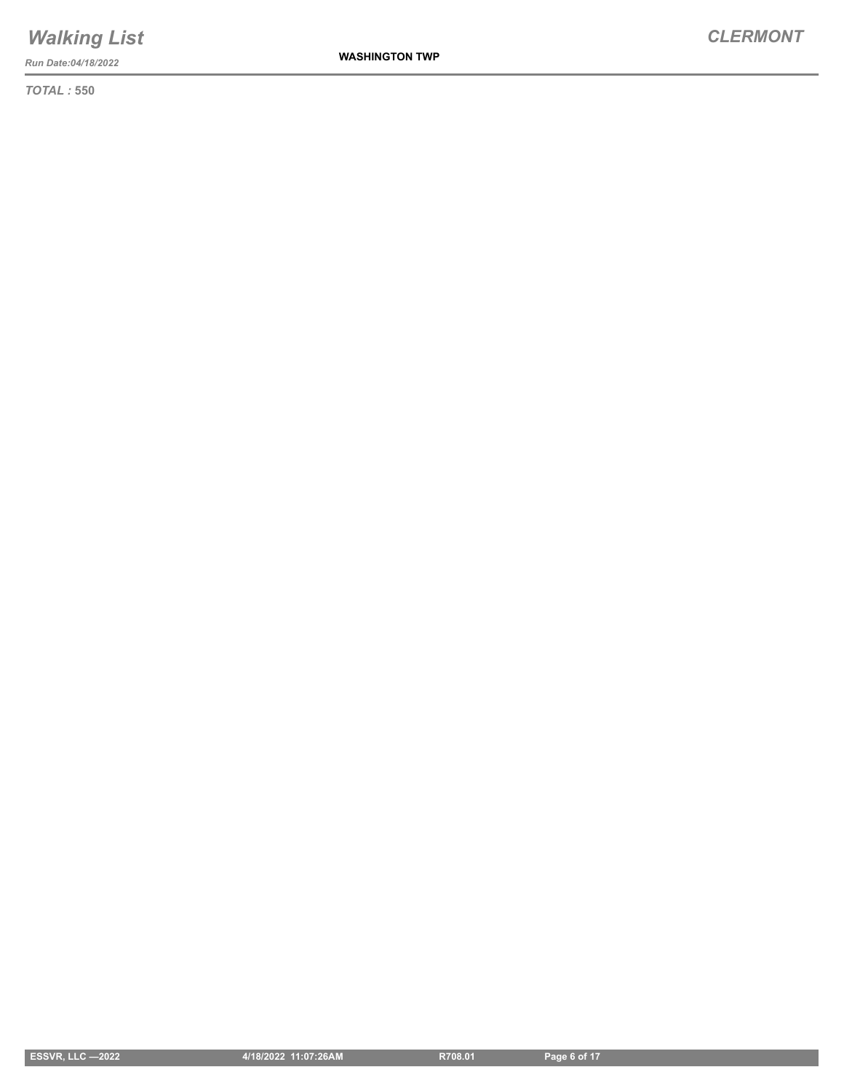*Run Date:04/18/2022*

*TOTAL :* **550**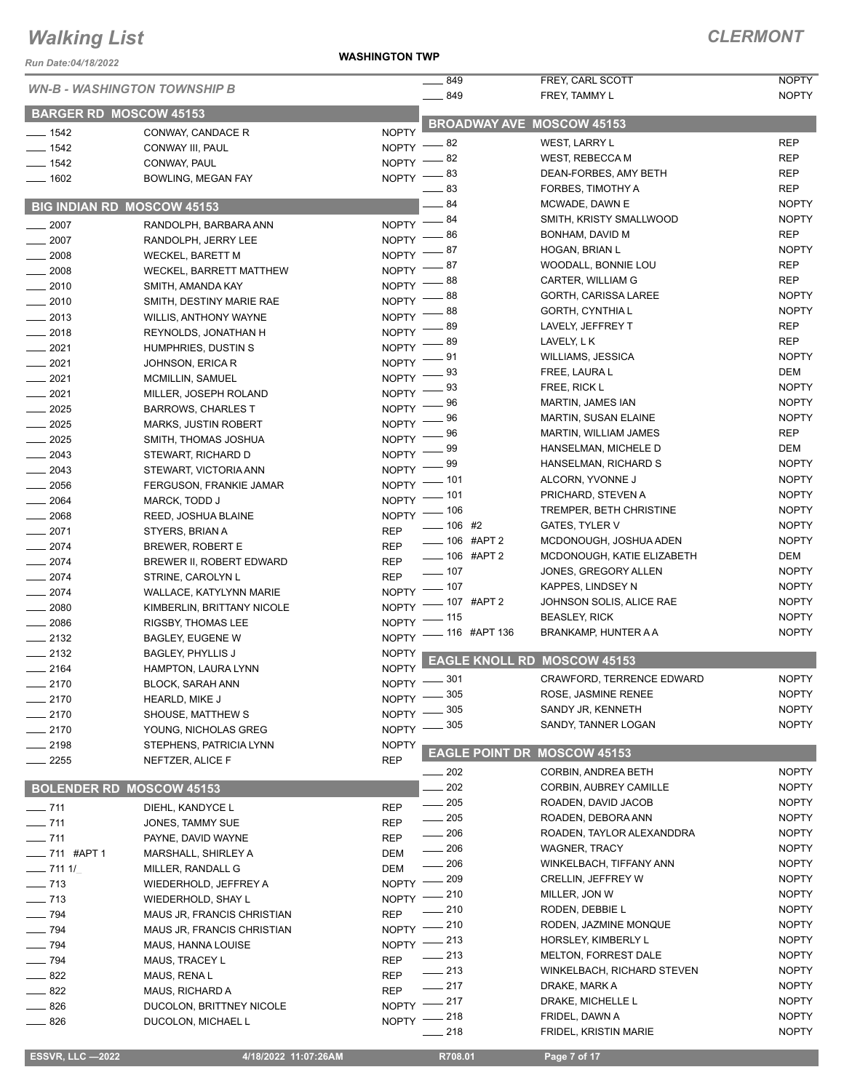*Run Date:04/18/2022*

**WASHINGTON TWP**

#### *CLERMONT*

|                                   | <b>WN-B - WASHINGTON TOWNSHIP B</b>                 |                              | $-849$                  | FREY, CARL SCOTT                          | <b>NOPTY</b>               |
|-----------------------------------|-----------------------------------------------------|------------------------------|-------------------------|-------------------------------------------|----------------------------|
|                                   |                                                     |                              | $-849$                  | FREY, TAMMY L                             | <b>NOPTY</b>               |
| <b>BARGER RD MOSCOW 45153</b>     |                                                     |                              |                         | <b>BROADWAY AVE MOSCOW 45153</b>          |                            |
| $- 1542$                          | CONWAY, CANDACE R                                   | <b>NOPTY</b>                 |                         |                                           |                            |
| $- 1542$                          | CONWAY III, PAUL                                    | NOPTY -                      | - 82                    | WEST, LARRY L                             | <b>REP</b>                 |
| $- 1542$                          | CONWAY, PAUL                                        | NOPTY -                      | 82                      | <b>WEST, REBECCA M</b>                    | <b>REP</b>                 |
| $- 1602$                          | <b>BOWLING, MEGAN FAY</b>                           | $NOPTY =$                    | 83                      | DEAN-FORBES, AMY BETH                     | <b>REP</b>                 |
|                                   |                                                     |                              | 83                      | FORBES, TIMOTHY A                         | <b>REP</b>                 |
| <b>BIG INDIAN RD MOSCOW 45153</b> |                                                     |                              | $-84$                   | MCWADE, DAWN E                            | <b>NOPTY</b>               |
| 2007                              | RANDOLPH, BARBARA ANN                               | <b>NOPTY</b>                 | 84                      | SMITH, KRISTY SMALLWOOD                   | <b>NOPTY</b>               |
| $\frac{1}{2007}$                  | RANDOLPH, JERRY LEE                                 | <b>NOPTY</b>                 | 86                      | BONHAM, DAVID M                           | <b>REP</b>                 |
| $- 2008$                          | <b>WECKEL, BARETT M</b>                             | NOPTY <sup>-</sup>           | 87                      | HOGAN, BRIAN L<br>WOODALL, BONNIE LOU     | <b>NOPTY</b><br><b>REP</b> |
| $\frac{1}{2008}$                  | WECKEL, BARRETT MATTHEW                             | NOPTY <sup>-</sup>           | 87<br>88                |                                           | <b>REP</b>                 |
| $-2010$                           | SMITH, AMANDA KAY                                   | <b>NOPTY</b>                 |                         | CARTER, WILLIAM G<br>GORTH, CARISSA LAREE | <b>NOPTY</b>               |
| $-2010$                           | SMITH, DESTINY MARIE RAE                            | <b>NOPTY</b>                 | 88<br>88                | GORTH, CYNTHIA L                          | <b>NOPTY</b>               |
| $-2013$                           | <b>WILLIS, ANTHONY WAYNE</b>                        | <b>NOPTY</b>                 | 89                      | LAVELY, JEFFREY T                         | <b>REP</b>                 |
| $-2018$                           | REYNOLDS, JONATHAN H                                | <b>NOPTY</b>                 | 89                      | LAVELY, L K                               | <b>REP</b>                 |
| $-2021$                           | HUMPHRIES, DUSTIN S                                 | <b>NOPTY</b>                 | 91                      | <b>WILLIAMS, JESSICA</b>                  | <b>NOPTY</b>               |
| $-2021$                           | JOHNSON, ERICA R                                    | <b>NOPTY</b>                 | 93                      | FREE, LAURA L                             | DEM                        |
| $-2021$                           | <b>MCMILLIN, SAMUEL</b>                             | <b>NOPTY</b>                 | 93                      | FREE, RICK L                              | <b>NOPTY</b>               |
| $-2021$                           | MILLER, JOSEPH ROLAND                               | <b>NOPTY</b>                 | 96                      | MARTIN, JAMES IAN                         | <b>NOPTY</b>               |
| $-2025$                           | <b>BARROWS, CHARLES T</b>                           | <b>NOPTY</b>                 | 96                      | <b>MARTIN, SUSAN ELAINE</b>               | <b>NOPTY</b>               |
| $\frac{1}{2025}$                  | <b>MARKS, JUSTIN ROBERT</b>                         | <b>NOPTY</b>                 | 96                      | MARTIN, WILLIAM JAMES                     | <b>REP</b>                 |
| $\frac{1}{2025}$                  | SMITH, THOMAS JOSHUA                                | <b>NOPTY</b>                 | 99                      | HANSELMAN, MICHELE D                      | DEM                        |
| $-2043$                           | STEWART, RICHARD D                                  | <b>NOPTY</b>                 | 99                      | HANSELMAN, RICHARD S                      | <b>NOPTY</b>               |
| $-2043$                           | STEWART, VICTORIA ANN                               | <b>NOPTY</b>                 | 101                     | ALCORN, YVONNE J                          | <b>NOPTY</b>               |
| $\frac{1}{2056}$                  | FERGUSON, FRANKIE JAMAR                             | <b>NOPTY</b>                 | _ 101                   | PRICHARD, STEVEN A                        | <b>NOPTY</b>               |
| $\frac{1}{2064}$                  | MARCK, TODD J                                       | NOPTY -                      | $-106$                  | TREMPER, BETH CHRISTINE                   | <b>NOPTY</b>               |
| $- 2068$                          | REED, JOSHUA BLAINE                                 | <b>NOPTY</b>                 | $-106$ #2               | <b>GATES, TYLER V</b>                     | <b>NOPTY</b>               |
| $-2071$                           | STYERS, BRIAN A                                     | <b>REP</b>                   | ___ 106 #APT 2          | MCDONOUGH, JOSHUA ADEN                    | <b>NOPTY</b>               |
| $-2074$                           | BREWER, ROBERT E                                    | <b>REP</b>                   | $- 106$ #APT 2          | MCDONOUGH, KATIE ELIZABETH                | DEM                        |
| $-2074$                           | BREWER II, ROBERT EDWARD                            | <b>REP</b>                   | $\frac{1}{2}$ 107       | JONES, GREGORY ALLEN                      | <b>NOPTY</b>               |
| $-2074$                           | STRINE, CAROLYN L                                   | <b>REP</b>                   | $- 107$                 | KAPPES, LINDSEY N                         | <b>NOPTY</b>               |
| $-2074$                           | WALLACE, KATYLYNN MARIE                             | <b>NOPTY</b><br><b>NOPTY</b> | <sub>–</sub> 107 #APT 2 | JOHNSON SOLIS, ALICE RAE                  | <b>NOPTY</b>               |
| $\frac{1}{2080}$                  | KIMBERLIN, BRITTANY NICOLE                          | <b>NOPTY</b>                 | 115                     | <b>BEASLEY, RICK</b>                      | <b>NOPTY</b>               |
| $\frac{1}{2086}$<br>$-2132$       | RIGSBY, THOMAS LEE                                  |                              | NOPTY - 116 #APT 136    | BRANKAMP, HUNTER A A                      | <b>NOPTY</b>               |
| $\frac{1}{2132}$                  | <b>BAGLEY, EUGENE W</b><br><b>BAGLEY, PHYLLIS J</b> | <b>NOPTY</b>                 |                         |                                           |                            |
| $-2164$                           | HAMPTON, LAURA LYNN                                 | <b>NOPTY</b>                 |                         | <b>EAGLE KNOLL RD MOSCOW 45153</b>        |                            |
| $-2170$                           | <b>BLOCK, SARAH ANN</b>                             |                              | NOPTY -801              | <b>CRAWFORD, TERRENCE EDWARD</b>          | <b>NOPTY</b>               |
| $-2170$                           | <b>HEARLD, MIKE J</b>                               |                              | NOPTY -805              | ROSE, JASMINE RENEE                       | <b>NOPTY</b>               |
| $-2170$                           | SHOUSE, MATTHEW S                                   | NOPTY -                      | 305                     | SANDY JR, KENNETH                         | <b>NOPTY</b>               |
| $-2170$                           | YOUNG, NICHOLAS GREG                                | $NOPTY =$                    | 305                     | SANDY, TANNER LOGAN                       | <b>NOPTY</b>               |
| $-2198$                           | STEPHENS, PATRICIA LYNN                             | <b>NOPTY</b>                 |                         |                                           |                            |
| $-2255$                           | NEFTZER, ALICE F                                    | <b>REP</b>                   |                         | <b>EAGLE POINT DR MOSCOW 45153</b>        |                            |
|                                   |                                                     |                              | $\_\_\_\$ 202           | <b>CORBIN, ANDREA BETH</b>                | <b>NOPTY</b>               |
| <b>BOLENDER RD MOSCOW 45153</b>   |                                                     |                              | 202                     | <b>CORBIN, AUBREY CAMILLE</b>             | <b>NOPTY</b>               |
| $- 711$                           | DIEHL, KANDYCE L                                    | <b>REP</b>                   | 205<br>$\frac{1}{2}$    | ROADEN, DAVID JACOB                       | <b>NOPTY</b>               |
| $- 711$                           | JONES, TAMMY SUE                                    | <b>REP</b>                   | 205                     | ROADEN, DEBORA ANN                        | <b>NOPTY</b>               |
| $- 711$                           | PAYNE, DAVID WAYNE                                  | <b>REP</b>                   | $\_\_\_\$ 206           | ROADEN, TAYLOR ALEXANDDRA                 | <b>NOPTY</b>               |
| -711 #APT 1                       | MARSHALL, SHIRLEY A                                 | DEM                          | $\sim$ 206              | <b>WAGNER, TRACY</b>                      | <b>NOPTY</b>               |
| $- 7111/$                         | MILLER, RANDALL G                                   | DEM                          | 206                     | WINKELBACH, TIFFANY ANN                   | <b>NOPTY</b>               |
| $\frac{1}{2}$ 713                 | WIEDERHOLD, JEFFREY A                               | <b>NOPTY</b>                 | 209                     | <b>CRELLIN, JEFFREY W</b>                 | <b>NOPTY</b>               |
| $- 713$                           | WIEDERHOLD, SHAY L                                  | $NOPTY$ --                   | 210                     | MILLER, JON W                             | <b>NOPTY</b>               |
| $\frac{1}{2}$ 794                 | MAUS JR, FRANCIS CHRISTIAN                          | <b>REP</b>                   | 210                     | RODEN, DEBBIE L                           | <b>NOPTY</b>               |
| $\frac{1}{2}$ 794                 | MAUS JR, FRANCIS CHRISTIAN                          |                              | NOPTY - 210             | RODEN, JAZMINE MONQUE                     | <b>NOPTY</b>               |
| $\frac{1}{2}$ 794                 | MAUS, HANNA LOUISE                                  |                              | NOPTY -213              | HORSLEY, KIMBERLY L                       | <b>NOPTY</b>               |
| $- 794$                           | MAUS, TRACEY L                                      | <b>REP</b>                   | $\frac{1}{213}$         | <b>MELTON, FORREST DALE</b>               | <b>NOPTY</b>               |
| $\frac{1}{2}$ 822                 | MAUS, RENA L                                        | <b>REP</b>                   | $\frac{1}{213}$         | WINKELBACH, RICHARD STEVEN                | <b>NOPTY</b>               |
| $\frac{1}{2}$ 822                 | MAUS, RICHARD A                                     | <b>REP</b>                   | $-217$                  | DRAKE, MARK A                             | <b>NOPTY</b>               |
| $-826$                            | DUCOLON, BRITTNEY NICOLE                            |                              | NOPTY -217              | DRAKE, MICHELLE L                         | <b>NOPTY</b>               |
| $-826$                            | DUCOLON, MICHAEL L                                  |                              | NOPTY -218              | FRIDEL, DAWN A                            | <b>NOPTY</b>               |
|                                   |                                                     |                              | 218                     | FRIDEL, KRISTIN MARIE                     | <b>NOPTY</b>               |

**ESSVR, LLC —2022 4/18/2022 11:07:26AM** R708.01 **Page 7 of 17**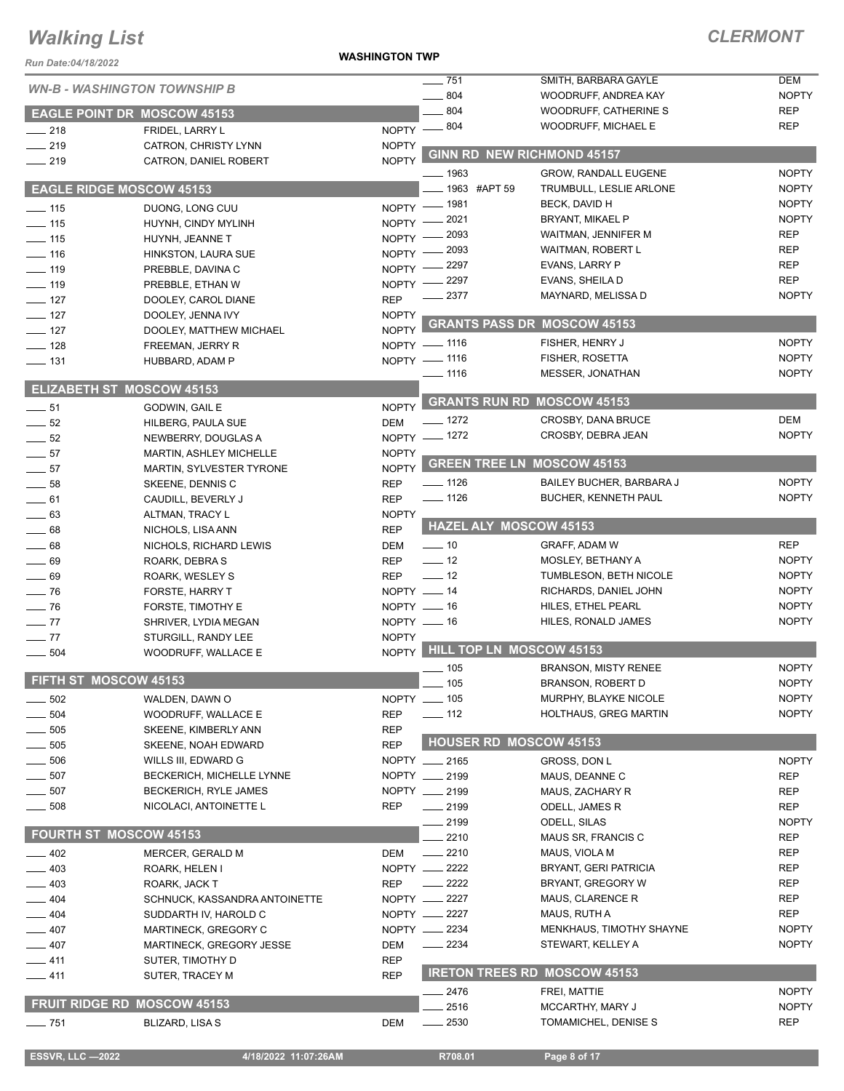#### **WASHINGTON TWP**

### *CLERMONT*

| Run Date:04/18/2022                  |                                      | <b>WASHINGTON TWP</b>        |                                   |                                            |                              |
|--------------------------------------|--------------------------------------|------------------------------|-----------------------------------|--------------------------------------------|------------------------------|
|                                      | <b>WN-B - WASHINGTON TOWNSHIP B</b>  |                              | 751                               | SMITH, BARBARA GAYLE                       | <b>DEM</b>                   |
|                                      |                                      |                              | $- 804$                           | WOODRUFF, ANDREA KAY                       | <b>NOPTY</b>                 |
|                                      | <b>EAGLE POINT DR MOSCOW 45153</b>   |                              | 804                               | WOODRUFF, CATHERINE S                      | <b>REP</b>                   |
| $\frac{1}{218}$                      | FRIDEL, LARRY L                      | $N$ OPTY $-$                 | $-804$                            | <b>WOODRUFF, MICHAEL E</b>                 | <b>REP</b>                   |
| $-219$                               | CATRON, CHRISTY LYNN                 | <b>NOPTY</b><br><b>NOPTY</b> | <b>GINN RD NEW RICHMOND 45157</b> |                                            |                              |
| $-219$                               | CATRON, DANIEL ROBERT                |                              | $-1963$                           | <b>GROW, RANDALL EUGENE</b>                | <b>NOPTY</b>                 |
|                                      | <b>EAGLE RIDGE MOSCOW 45153</b>      |                              | 1963 #APT 59                      | TRUMBULL, LESLIE ARLONE                    | <b>NOPTY</b>                 |
| $\frac{1}{15}$                       | DUONG, LONG CUU                      |                              | NOPTY - 1981                      | BECK, DAVID H                              | <b>NOPTY</b>                 |
| $\frac{1}{2}$ 115                    | HUYNH, CINDY MYLINH                  |                              | NOPTY -2021                       | BRYANT, MIKAEL P                           | <b>NOPTY</b>                 |
| $\frac{1}{15}$                       | HUYNH, JEANNE T                      | $N$ OPTY $-$                 | 2093                              | WAITMAN, JENNIFER M                        | <b>REP</b>                   |
| $\frac{1}{16}$                       | HINKSTON, LAURA SUE                  | $NOPTY -$                    | _ 2093                            | <b>WAITMAN, ROBERT L</b>                   | <b>REP</b>                   |
| $- 119$                              | PREBBLE, DAVINA C                    | $NOPTY -$                    | _ 2297                            | EVANS, LARRY P                             | <b>REP</b>                   |
| $- 119$                              | PREBBLE, ETHAN W                     |                              | NOPTY -2297                       | EVANS, SHEILA D                            | <b>REP</b>                   |
| $\frac{1}{2}$ 127                    | DOOLEY, CAROL DIANE                  | <b>REP</b>                   | ____ 2377                         | MAYNARD, MELISSA D                         | <b>NOPTY</b>                 |
| $\frac{1}{2}$ 127                    | DOOLEY, JENNA IVY                    | <b>NOPTY</b>                 |                                   |                                            |                              |
| $- 127$                              | DOOLEY, MATTHEW MICHAEL              | <b>NOPTY</b>                 |                                   | <b>GRANTS PASS DR MOSCOW 45153</b>         |                              |
| $\frac{1}{2}$ 128                    | FREEMAN, JERRY R                     |                              | NOPTY - 1116                      | FISHER, HENRY J                            | <b>NOPTY</b>                 |
| $\frac{1}{2}$ 131                    | HUBBARD, ADAM P                      |                              | NOPTY - 1116                      | <b>FISHER, ROSETTA</b>                     | <b>NOPTY</b>                 |
|                                      | <b>ELIZABETH ST MOSCOW 45153</b>     |                              | $- 1116$                          | MESSER, JONATHAN                           | <b>NOPTY</b>                 |
|                                      |                                      |                              |                                   | <b>GRANTS RUN RD MOSCOW 45153</b>          |                              |
| $\frac{1}{2}$ 51<br>$\frac{1}{2}$ 52 | GODWIN, GAIL E<br>HILBERG, PAULA SUE | <b>NOPTY</b><br><b>DEM</b>   | $- 1272$                          | CROSBY, DANA BRUCE                         | <b>DEM</b>                   |
| $\frac{1}{2}$ 52                     | NEWBERRY, DOUGLAS A                  |                              | NOPTY - 1272                      | CROSBY, DEBRA JEAN                         | <b>NOPTY</b>                 |
| $\frac{1}{2}$ 57                     | <b>MARTIN, ASHLEY MICHELLE</b>       | <b>NOPTY</b>                 |                                   |                                            |                              |
| $\frac{1}{2}$ 57                     | MARTIN, SYLVESTER TYRONE             | <b>NOPTY</b>                 | <b>GREEN TREE LN</b>              | <b>MOSCOW 45153</b>                        |                              |
| $\frac{1}{2}$ 58                     | SKEENE, DENNIS C                     | <b>REP</b>                   | ___ 1126                          | <b>BAILEY BUCHER, BARBARA J</b>            | <b>NOPTY</b>                 |
| ____ 61                              | CAUDILL, BEVERLY J                   | <b>REP</b>                   | $- 1126$                          | BUCHER, KENNETH PAUL                       | <b>NOPTY</b>                 |
| $-63$                                | ALTMAN, TRACY L                      | <b>NOPTY</b>                 |                                   |                                            |                              |
| $\frac{1}{2}$ 68                     | NICHOLS, LISA ANN                    | <b>REP</b>                   | <b>HAZEL ALY MOSCOW 45153</b>     |                                            |                              |
| $\sim$ 68                            | NICHOLS, RICHARD LEWIS               | <b>DEM</b>                   | $\frac{1}{2}$ 10                  | GRAFF, ADAM W                              | <b>REP</b>                   |
| $\frac{1}{2}$ 69                     | ROARK, DEBRA S                       | <b>REP</b>                   | $\frac{1}{2}$ 12                  | MOSLEY, BETHANY A                          | <b>NOPTY</b>                 |
| $-69$                                | ROARK, WESLEY S                      | <b>REP</b>                   | $\frac{1}{2}$ 12                  | <b>TUMBLESON, BETH NICOLE</b>              | <b>NOPTY</b>                 |
| $\frac{1}{2}$ 76                     | FORSTE, HARRY T                      | $NOPTY$ = 14                 |                                   | RICHARDS, DANIEL JOHN                      | <b>NOPTY</b>                 |
| $\frac{1}{2}$ 76                     | FORSTE, TIMOTHY E                    |                              | NOPTY $- 16$                      | HILES, ETHEL PEARL                         | <b>NOPTY</b>                 |
| $-77$                                | SHRIVER, LYDIA MEGAN                 | $NOPTY$ = 16                 |                                   | HILES, RONALD JAMES                        | <b>NOPTY</b>                 |
| $-77$                                | STURGILL, RANDY LEE                  | <b>NOPTY</b>                 |                                   |                                            |                              |
| $\frac{1}{2}$ 504                    | WOODRUFF, WALLACE E                  | <b>NOPTY</b>                 | <b>HILL TOP LN MOSCOW 45153</b>   |                                            |                              |
|                                      | FIFTH ST MOSCOW 45153                |                              | 105<br>$-105$                     | <b>BRANSON, MISTY RENEE</b>                | <b>NOPTY</b><br><b>NOPTY</b> |
| $- 502$                              | WALDEN, DAWN O                       |                              | NOPTY __ 105                      | BRANSON, ROBERT D<br>MURPHY, BLAYKE NICOLE | <b>NOPTY</b>                 |
| 504                                  | WOODRUFF, WALLACE E                  | <b>REP</b>                   | $\frac{1}{2}$ 112                 | <b>HOLTHAUS, GREG MARTIN</b>               | <b>NOPTY</b>                 |
| 505                                  | SKEENE, KIMBERLY ANN                 | <b>REP</b>                   |                                   |                                            |                              |
| 505                                  | SKEENE, NOAH EDWARD                  | <b>REP</b>                   | <b>HOUSER RD MOSCOW 45153</b>     |                                            |                              |
| 506                                  | WILLS III, EDWARD G                  |                              | NOPTY __ 2165                     | GROSS, DON L                               | <b>NOPTY</b>                 |
| 507                                  | BECKERICH, MICHELLE LYNNE            |                              | NOPTY __ 2199                     | MAUS, DEANNE C                             | <b>REP</b>                   |
| $-507$                               | <b>BECKERICH, RYLE JAMES</b>         |                              | NOPTY __ 2199                     | MAUS, ZACHARY R                            | REP                          |
| $\rule{1em}{0.15mm}$ 508             | NICOLACI, ANTOINETTE L               | REP                          | $-2199$                           | ODELL, JAMES R                             | <b>REP</b>                   |
|                                      |                                      |                              | 2199                              | ODELL, SILAS                               | <b>NOPTY</b>                 |
|                                      | FOURTH ST MOSCOW 45153               |                              | 2210                              | MAUS SR, FRANCIS C                         | <b>REP</b>                   |
| $-402$                               | MERCER, GERALD M                     | DEM                          | $-2210$                           | MAUS, VIOLA M                              | <b>REP</b>                   |
| $-403$                               | ROARK, HELEN I                       |                              | NOPTY __ 2222                     | <b>BRYANT, GERI PATRICIA</b>               | REP                          |
| $-403$                               | ROARK, JACK T                        | REP                          | $\frac{2222}{2}$                  | BRYANT, GREGORY W                          | REP                          |
| $-404$                               | SCHNUCK, KASSANDRA ANTOINETTE        |                              | NOPTY __ 2227                     | MAUS, CLARENCE R                           | REP                          |
| 404                                  | SUDDARTH IV, HAROLD C                |                              | NOPTY __ 2227                     | MAUS, RUTH A                               | <b>REP</b>                   |
| 407                                  | MARTINECK, GREGORY C                 |                              | NOPTY __ 2234                     | MENKHAUS, TIMOTHY SHAYNE                   | <b>NOPTY</b>                 |
| $-407$                               | MARTINECK, GREGORY JESSE             | DEM                          | $-2234$                           | STEWART, KELLEY A                          | <b>NOPTY</b>                 |
| $-411$                               | SUTER, TIMOTHY D                     | <b>REP</b>                   |                                   |                                            |                              |
| $-411$                               | SUTER, TRACEY M                      | <b>REP</b>                   |                                   | <b>IRETON TREES RD MOSCOW 45153</b>        |                              |
|                                      |                                      |                              | 2476                              | FREI, MATTIE                               | <b>NOPTY</b>                 |
|                                      | <b>FRUIT RIDGE RD MOSCOW 45153</b>   |                              | 2516                              | MCCARTHY, MARY J                           | <b>NOPTY</b>                 |
| $- 751$                              | BLIZARD, LISA S                      | <b>DEM</b>                   | $\frac{1}{2530}$                  | TOMAMICHEL, DENISE S                       | <b>REP</b>                   |
|                                      |                                      |                              |                                   |                                            |                              |

**ESSVR, LLC -2022 4/18/2022 11:07:26AM** R708.01 **Page 8 of 17**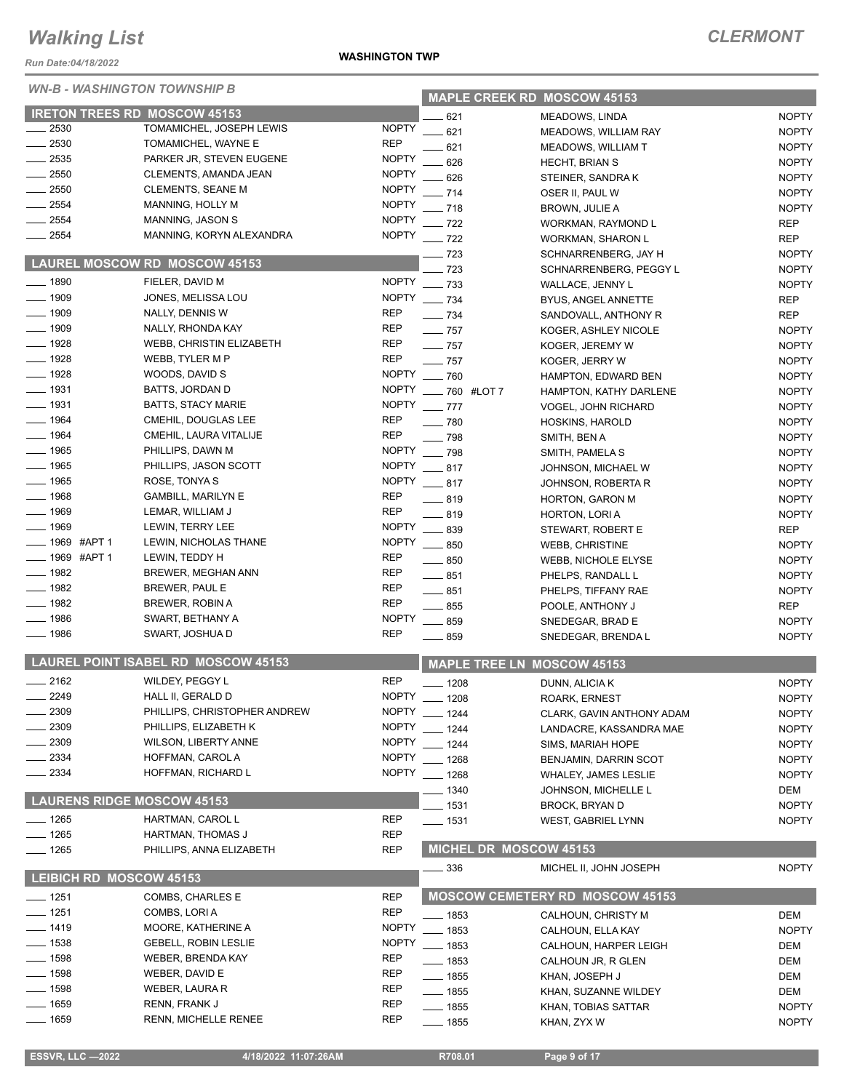*Run Date:04/18/2022*

#### *WN-B - WASHINGTON TOWNSHIP B*

#### **WASHINGTON TWP**

| <i>WN-B - WASHINGTON TOWNSHIP B</i> |                                            |              |                    |                        | <b>MAPLE CREEK RD MOSCOW 45153</b>     |              |
|-------------------------------------|--------------------------------------------|--------------|--------------------|------------------------|----------------------------------------|--------------|
|                                     | <b>IRETON TREES RD MOSCOW 45153</b>        |              | 621                |                        | <b>MEADOWS, LINDA</b>                  | <b>NOPTY</b> |
| 2530                                | TOMAMICHEL, JOSEPH LEWIS                   | <b>NOPTY</b> | .621               |                        | MEADOWS, WILLIAM RAY                   | <b>NOPTY</b> |
| 2530                                | TOMAMICHEL, WAYNE E                        | <b>REP</b>   | 621                |                        | MEADOWS, WILLIAM T                     | <b>NOPTY</b> |
| 2535                                | PARKER JR, STEVEN EUGENE                   | <b>NOPTY</b> | 626                |                        | <b>HECHT, BRIAN S</b>                  | <b>NOPTY</b> |
| 2550                                | CLEMENTS, AMANDA JEAN                      | <b>NOPTY</b> | 626                |                        | STEINER, SANDRAK                       | <b>NOPTY</b> |
| 2550                                | <b>CLEMENTS, SEANE M</b>                   | <b>NOPTY</b> | $-714$             |                        | OSER II, PAUL W                        | <b>NOPTY</b> |
| 2554                                | MANNING, HOLLY M                           | <b>NOPTY</b> | $-718$             |                        | <b>BROWN, JULIE A</b>                  | <b>NOPTY</b> |
| 2554                                | MANNING, JASON S                           | <b>NOPTY</b> | $-722$             |                        | WORKMAN, RAYMOND L                     | <b>REP</b>   |
| 2554                                | MANNING, KORYN ALEXANDRA                   | <b>NOPTY</b> | $-722$             |                        | <b>WORKMAN, SHARON L</b>               | <b>REP</b>   |
|                                     |                                            |              | - 723              |                        | SCHNARRENBERG, JAY H                   | <b>NOPTY</b> |
|                                     | <b>LAUREL MOSCOW RD MOSCOW 45153</b>       |              | 723                |                        | SCHNARRENBERG, PEGGY L                 | <b>NOPTY</b> |
| $- 1890$                            | FIELER, DAVID M                            | <b>NOPTY</b> | $-733$             |                        | WALLACE, JENNY L                       | <b>NOPTY</b> |
| $- 1909$                            | JONES, MELISSA LOU                         | <b>NOPTY</b> | $-734$             |                        | BYUS, ANGEL ANNETTE                    | <b>REP</b>   |
| _ 1909                              | NALLY, DENNIS W                            | <b>REP</b>   | $\frac{1}{2}$ 734  |                        | SANDOVALL, ANTHONY R                   | <b>REP</b>   |
| . 1909                              | NALLY, RHONDA KAY                          | <b>REP</b>   | $\frac{1}{2}$ 757  |                        | KOGER, ASHLEY NICOLE                   | <b>NOPTY</b> |
| $-1928$                             | WEBB, CHRISTIN ELIZABETH                   | <b>REP</b>   | $\frac{1}{2}$ 757  |                        | KOGER, JEREMY W                        | <b>NOPTY</b> |
| $-1928$                             | WEBB, TYLER M P                            | <b>REP</b>   | $-757$             |                        | KOGER, JERRY W                         | <b>NOPTY</b> |
| $- 1928$                            | WOODS, DAVID S                             | <b>NOPTY</b> | $-760$             |                        | HAMPTON, EDWARD BEN                    | <b>NOPTY</b> |
| $- 1931$                            | BATTS, JORDAN D                            | <b>NOPTY</b> | __ 760 #LOT 7      |                        | HAMPTON, KATHY DARLENE                 | <b>NOPTY</b> |
| ____ 1931                           | <b>BATTS, STACY MARIE</b>                  | <b>NOPTY</b> | $-777$             |                        | VOGEL, JOHN RICHARD                    | <b>NOPTY</b> |
| $-1964$                             | CMEHIL, DOUGLAS LEE                        | <b>REP</b>   | $-780$             |                        | HOSKINS, HAROLD                        | <b>NOPTY</b> |
| _ 1964                              | CMEHIL, LAURA VITALIJE                     | <b>REP</b>   | $-798$             |                        | SMITH, BEN A                           | <b>NOPTY</b> |
| $-1965$                             | PHILLIPS, DAWN M                           | <b>NOPTY</b> | $-798$             |                        | SMITH, PAMELA S                        | <b>NOPTY</b> |
| $-1965$                             | PHILLIPS, JASON SCOTT                      | <b>NOPTY</b> | $-817$             |                        | JOHNSON, MICHAEL W                     | <b>NOPTY</b> |
| $- 1965$                            | ROSE, TONYA S                              | <b>NOPTY</b> | $-817$             |                        | JOHNSON, ROBERTA R                     | <b>NOPTY</b> |
| $-1968$                             | <b>GAMBILL, MARILYN E</b>                  | <b>REP</b>   | $-819$             |                        | <b>HORTON, GARON M</b>                 | <b>NOPTY</b> |
| __ 1969                             | LEMAR, WILLIAM J                           | <b>REP</b>   | $-819$             |                        | HORTON, LORI A                         | <b>NOPTY</b> |
| 1969                                | LEWIN, TERRY LEE                           | <b>NOPTY</b> | $\equiv$ 839       |                        | STEWART, ROBERT E                      | <b>REP</b>   |
| 1969 #APT 1                         | LEWIN, NICHOLAS THANE                      | <b>NOPTY</b> | $- 850$            |                        | <b>WEBB, CHRISTINE</b>                 | <b>NOPTY</b> |
| _ 1969 #APT 1                       | LEWIN, TEDDY H                             | <b>REP</b>   | $-850$             |                        | <b>WEBB, NICHOLE ELYSE</b>             | <b>NOPTY</b> |
| $-1982$                             | BREWER, MEGHAN ANN                         | <b>REP</b>   | $-851$             |                        | PHELPS, RANDALL L                      | <b>NOPTY</b> |
| $- 1982$                            | BREWER, PAUL E                             | REP          | $-851$             |                        | PHELPS, TIFFANY RAE                    | <b>NOPTY</b> |
| $- 1982$                            | BREWER, ROBIN A                            | <b>REP</b>   | $\frac{1}{2}$ 855  |                        | POOLE, ANTHONY J                       | <b>REP</b>   |
| 1986                                | SWART, BETHANY A                           | <b>NOPTY</b> | $- 859$            |                        | SNEDEGAR, BRAD E                       | <b>NOPTY</b> |
| 1986                                | SWART, JOSHUA D                            | <b>REP</b>   | $\equiv$ 859       |                        | SNEDEGAR, BRENDA L                     | <b>NOPTY</b> |
|                                     | <b>LAUREL POINT ISABEL RD MOSCOW 45153</b> |              |                    |                        | <b>MAPLE TREE LN MOSCOW 45153</b>      |              |
| $-2162$                             | WILDEY, PEGGY L                            | <b>REP</b>   |                    |                        |                                        |              |
| $-2249$                             | HALL II, GERALD D                          | <b>NOPTY</b> | $-1208$            |                        | DUNN, ALICIA K                         | <b>NOPTY</b> |
| 2309                                | PHILLIPS, CHRISTOPHER ANDREW               | <b>NOPTY</b> | $-1208$            |                        | ROARK, ERNEST                          | <b>NOPTY</b> |
| 2309                                | PHILLIPS, ELIZABETH K                      | <b>NOPTY</b> | __ 1244            |                        | CLARK, GAVIN ANTHONY ADAM              | <b>NOPTY</b> |
| 2309                                | WILSON, LIBERTY ANNE                       | <b>NOPTY</b> | $-1244$            |                        | LANDACRE, KASSANDRA MAE                | <b>NOPTY</b> |
| 2334                                | HOFFMAN, CAROL A                           | <b>NOPTY</b> | $-1244$            |                        | SIMS, MARIAH HOPE                      | <b>NOPTY</b> |
| 2334                                | HOFFMAN, RICHARD L                         | <b>NOPTY</b> | $-1268$            |                        | BENJAMIN, DARRIN SCOT                  | <b>NOPTY</b> |
|                                     |                                            |              | $-1268$            |                        | <b>WHALEY, JAMES LESLIE</b>            | <b>NOPTY</b> |
| <b>LAURENS RIDGE MOSCOW 45153</b>   |                                            |              | . 1340             |                        | JOHNSON, MICHELLE L                    | DEM          |
| $- 1265$                            | HARTMAN, CAROL L                           | <b>REP</b>   | 1531               |                        | <b>BROCK, BRYAN D</b>                  | <b>NOPTY</b> |
| $- 1265$                            | HARTMAN, THOMAS J                          | <b>REP</b>   | __ 1531            |                        | <b>WEST, GABRIEL LYNN</b>              | <b>NOPTY</b> |
| — 1265                              | PHILLIPS, ANNA ELIZABETH                   | <b>REP</b>   |                    | MICHEL DR MOSCOW 45153 |                                        |              |
|                                     |                                            |              | _ 336              |                        | MICHEL II, JOHN JOSEPH                 | <b>NOPTY</b> |
| LEIBICH RD MOSCOW 45153             |                                            |              |                    |                        |                                        |              |
| $-1251$                             | COMBS, CHARLES E                           | <b>REP</b>   |                    |                        | <b>MOSCOW CEMETERY RD MOSCOW 45153</b> |              |
| $-1251$                             | COMBS, LORIA                               | <b>REP</b>   | _ 1853             |                        | CALHOUN, CHRISTY M                     | DEM          |
| $-1419$                             | MOORE, KATHERINE A                         | <b>NOPTY</b> | $-1853$            |                        | CALHOUN, ELLA KAY                      | <b>NOPTY</b> |
| __ 1538                             | <b>GEBELL, ROBIN LESLIE</b>                | <b>NOPTY</b> | __ 1853            |                        | CALHOUN, HARPER LEIGH                  | DEM          |
| ___ 1598                            | WEBER, BRENDA KAY                          | <b>REP</b>   | $\frac{1}{2}$ 1853 |                        | CALHOUN JR, R GLEN                     | DEM          |
| __ 1598                             | WEBER, DAVID E                             | REP          | $\frac{1}{2}$ 1855 |                        | KHAN, JOSEPH J                         | DEM          |
| __ 1598                             | WEBER, LAURA R                             | REP          | $\frac{1}{2}$ 1855 |                        | KHAN, SUZANNE WILDEY                   | DEM          |
| $-1659$                             | RENN, FRANK J                              | REP          | ___ 1855           |                        | KHAN, TOBIAS SATTAR                    | <b>NOPTY</b> |
| _ 1659                              | <b>RENN, MICHELLE RENEE</b>                | <b>REP</b>   | — 1855             |                        | KHAN, ZYX W                            | <b>NOPTY</b> |
|                                     |                                            |              |                    |                        |                                        |              |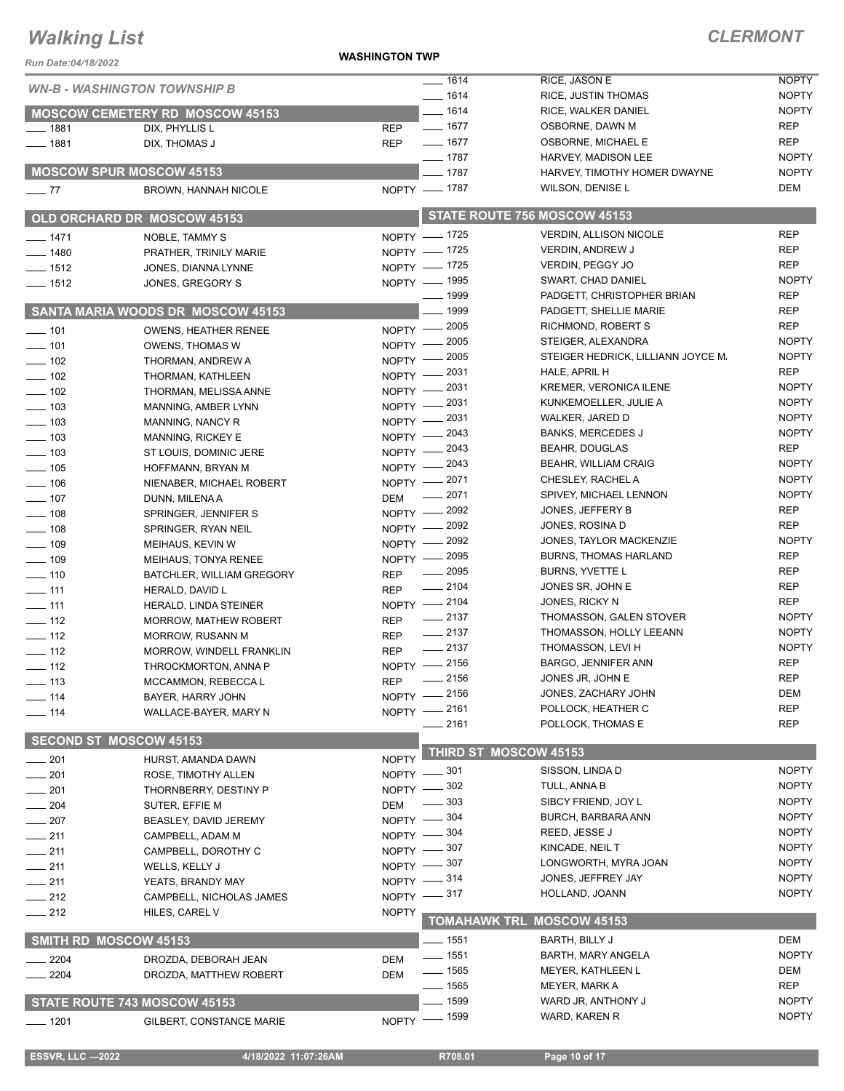#### **WASHINGTON TWP**

| Run Date:04/18/2022                    |                                                       | יייי ייטושטרייט             |                      |                                                     |                            |
|----------------------------------------|-------------------------------------------------------|-----------------------------|----------------------|-----------------------------------------------------|----------------------------|
|                                        | <b>WN-B - WASHINGTON TOWNSHIP B</b>                   |                             | $- 1614$             | RICE, JASON E                                       | <b>NOPTY</b>               |
|                                        |                                                       |                             | $- 1614$             | <b>RICE, JUSTIN THOMAS</b>                          | <b>NOPTY</b>               |
|                                        | <b>MOSCOW CEMETERY RD MOSCOW 45153</b>                |                             | $- 1614$             | RICE, WALKER DANIEL                                 | <b>NOPTY</b>               |
| $- 1881$                               | DIX, PHYLLIS L                                        | <b>REP</b>                  | $- 1677$             | OSBORNE, DAWN M                                     | <b>REP</b>                 |
| $- 1881$                               | DIX, THOMAS J                                         | <b>REP</b>                  | $- 1677$<br>$- 1787$ | OSBORNE, MICHAEL E                                  | <b>REP</b><br><b>NOPTY</b> |
|                                        | <b>MOSCOW SPUR MOSCOW 45153</b>                       |                             | $-1787$              | HARVEY, MADISON LEE<br>HARVEY, TIMOTHY HOMER DWAYNE | <b>NOPTY</b>               |
|                                        |                                                       | NOPTY - 1787                |                      | WILSON, DENISE L                                    | DEM                        |
| $\frac{1}{2}$ 77                       | <b>BROWN, HANNAH NICOLE</b>                           |                             |                      |                                                     |                            |
|                                        | OLD ORCHARD DR MOSCOW 45153                           |                             |                      | STATE ROUTE 756 MOSCOW 45153                        |                            |
| $- 1471$                               | NOBLE, TAMMY S                                        | NOPTY - 1725                |                      | <b>VERDIN, ALLISON NICOLE</b>                       | <b>REP</b>                 |
| $- 1480$                               | PRATHER, TRINILY MARIE                                | NOPTY - 1725                |                      | <b>VERDIN, ANDREW J</b>                             | <b>REP</b>                 |
| $- 1512$                               | JONES, DIANNA LYNNE                                   | NOPTY - 1725                |                      | VERDIN, PEGGY JO                                    | <b>REP</b>                 |
| $\frac{1}{2}$ 1512                     | JONES, GREGORY S                                      | NOPTY - 1995                |                      | SWART, CHAD DANIEL                                  | <b>NOPTY</b>               |
|                                        |                                                       |                             | $\frac{1}{2}$ 1999   | PADGETT, CHRISTOPHER BRIAN                          | <b>REP</b>                 |
|                                        | SANTA MARIA WOODS DR MOSCOW 45153                     |                             | . 1999               | PADGETT, SHELLIE MARIE                              | <b>REP</b>                 |
| $\frac{1}{2}$ 101                      | OWENS, HEATHER RENEE                                  | NOPTY -2005                 |                      | RICHMOND, ROBERT S                                  | <b>REP</b>                 |
| $- 101$                                | <b>OWENS, THOMAS W</b>                                | NOPTY -2005                 |                      | STEIGER, ALEXANDRA                                  | <b>NOPTY</b>               |
| $- 102$                                | THORMAN, ANDREW A                                     | NOPTY -2005                 |                      | STEIGER HEDRICK, LILLIANN JOYCE M.                  | <b>NOPTY</b>               |
| $\frac{1}{2}$ 102                      | THORMAN, KATHLEEN                                     | NOPTY -2031                 |                      | HALE, APRIL H                                       | <b>REP</b>                 |
| $\frac{1}{2}$ 102                      | THORMAN, MELISSA ANNE                                 | NOPTY -2031                 |                      | <b>KREMER, VERONICA ILENE</b>                       | <b>NOPTY</b>               |
| $\frac{1}{2}$ 103                      | MANNING, AMBER LYNN                                   | NOPTY -2031                 |                      | KUNKEMOELLER, JULIE A                               | <b>NOPTY</b>               |
| $\frac{1}{2}$ 103                      | MANNING, NANCY R                                      | NOPTY -2031                 |                      | WALKER, JARED D                                     | <b>NOPTY</b>               |
| $\frac{1}{2}$ 103                      | <b>MANNING, RICKEY E</b>                              | NOPTY -2043                 |                      | <b>BANKS, MERCEDES J</b>                            | <b>NOPTY</b><br><b>REP</b> |
| $\frac{1}{2}$ 103                      | ST LOUIS, DOMINIC JERE                                | $NOPTY$ -                   | - 2043               | <b>BEAHR, DOUGLAS</b>                               | <b>NOPTY</b>               |
| $\frac{1}{2}$ 105                      | HOFFMANN, BRYAN M                                     | NOPTY -2043                 |                      | <b>BEAHR, WILLIAM CRAIG</b><br>CHESLEY, RACHEL A    | <b>NOPTY</b>               |
| $\frac{1}{2}$ 106                      | NIENABER, MICHAEL ROBERT                              | NOPTY -2071                 | 2071                 | SPIVEY, MICHAEL LENNON                              | <b>NOPTY</b>               |
| $- 107$                                | DUNN, MILENAA                                         | <b>DEM</b>                  |                      | JONES, JEFFERY B                                    | <b>REP</b>                 |
| $\frac{1}{2}$ 108                      | SPRINGER, JENNIFER S                                  | NOPTY - 2092<br>NOPTY -2092 |                      | JONES, ROSINA D                                     | <b>REP</b>                 |
| $\equiv$ 108                           | SPRINGER, RYAN NEIL                                   |                             | 2092                 | JONES, TAYLOR MACKENZIE                             | <b>NOPTY</b>               |
| $\frac{1}{2}$ 109                      | MEIHAUS, KEVIN W                                      | $NOPTY$ –<br>NOPTY -2095    |                      | <b>BURNS, THOMAS HARLAND</b>                        | <b>REP</b>                 |
| $- 109$                                | MEIHAUS, TONYA RENEE                                  |                             | $\frac{1}{2095}$     | BURNS, YVETTE L                                     | <b>REP</b>                 |
| $- 110$                                | BATCHLER, WILLIAM GREGORY                             | <b>REP</b>                  | $-2104$              | JONES SR, JOHN E                                    | <b>REP</b>                 |
| $\frac{1}{2}$ 111                      | HERALD, DAVID L                                       | <b>REP</b><br>NOPTY -2104   |                      | JONES, RICKY N                                      | <b>REP</b>                 |
| $\overline{\phantom{0}}$ 111<br>$-112$ | HERALD, LINDA STEINER<br><b>MORROW, MATHEW ROBERT</b> | <b>REP</b>                  | $\frac{1}{2137}$     | THOMASSON, GALEN STOVER                             | <b>NOPTY</b>               |
| $\frac{1}{2}$ 112                      | <b>MORROW, RUSANN M</b>                               | <b>REP</b>                  | $\frac{1}{2137}$     | THOMASSON, HOLLY LEEANN                             | <b>NOPTY</b>               |
| $\frac{1}{2}$ 112                      | MORROW, WINDELL FRANKLIN                              | <b>REP</b>                  | $-2137$              | THOMASSON, LEVI H                                   | <b>NOPTY</b>               |
| $\frac{1}{2}$ 112                      | THROCKMORTON, ANNA P                                  | NOPTY -2156                 |                      | BARGO, JENNIFER ANN                                 | <b>REP</b>                 |
| $- 113$                                | MCCAMMON, REBECCA L                                   | <b>REP</b>                  | $-2156$              | JONES JR, JOHN E                                    | <b>REP</b>                 |
| $- 114$                                | BAYER, HARRY JOHN                                     | NOPTY -2156                 |                      | JONES, ZACHARY JOHN                                 | <b>DEM</b>                 |
| $- 114$                                | WALLACE-BAYER, MARY N                                 | NOPTY -2161                 |                      | POLLOCK, HEATHER C                                  | <b>REP</b>                 |
|                                        |                                                       |                             | 2161                 | POLLOCK, THOMAS E                                   | <b>REP</b>                 |
|                                        | <b>SECOND ST MOSCOW 45153</b>                         |                             |                      | THIRD ST MOSCOW 45153                               |                            |
| $-201$                                 | HURST, AMANDA DAWN                                    | <b>NOPTY</b>                | _ 301                | SISSON, LINDA D                                     | <b>NOPTY</b>               |
| $\frac{1}{201}$                        | ROSE, TIMOTHY ALLEN                                   | <b>NOPTY</b>                | - 302                | TULL, ANNA B                                        | <b>NOPTY</b>               |
| $- 201$                                | THORNBERRY, DESTINY P                                 | NOPTY -                     | 303                  | SIBCY FRIEND, JOY L                                 | <b>NOPTY</b>               |
| $- 204$                                | SUTER, EFFIE M                                        | <b>DEM</b>                  | . 304                | BURCH, BARBARA ANN                                  | <b>NOPTY</b>               |
| $-207$                                 | BEASLEY, DAVID JEREMY                                 | NOPTY -<br>NOPTY -804       |                      | REED, JESSE J                                       | <b>NOPTY</b>               |
| $-211$                                 | CAMPBELL, ADAM M                                      | NOPTY -807                  |                      | KINCADE, NEIL T                                     | <b>NOPTY</b>               |
| $-211$                                 | CAMPBELL, DOROTHY C                                   | NOPTY -807                  |                      | LONGWORTH, MYRA JOAN                                | <b>NOPTY</b>               |
| $-211$                                 | WELLS, KELLY J                                        | $NOPTY = 314$               |                      | JONES, JEFFREY JAY                                  | <b>NOPTY</b>               |
| $-211$                                 | YEATS, BRANDY MAY                                     | NOPTY -817                  |                      | HOLLAND, JOANN                                      | <b>NOPTY</b>               |
| $-212$                                 | CAMPBELL, NICHOLAS JAMES                              |                             |                      |                                                     |                            |
| $-212$                                 | HILES, CAREL V                                        | <b>NOPTY</b>                | <b>TOMAHAWK TRL</b>  | <b>MOSCOW 45153</b>                                 |                            |
|                                        | SMITH RD MOSCOW 45153                                 |                             | $=$ 1551             | BARTH, BILLY J                                      | DEM                        |
| 2204                                   | DROZDA, DEBORAH JEAN                                  | <b>DEM</b>                  | $- 1551$             | <b>BARTH, MARY ANGELA</b>                           | <b>NOPTY</b>               |
| $-2204$                                | DROZDA, MATTHEW ROBERT                                | <b>DEM</b>                  | $\frac{1}{2}$ 1565   | MEYER, KATHLEEN L                                   | DEM                        |
|                                        |                                                       |                             | —— 1565              | MEYER, MARK A                                       | <b>REP</b>                 |
|                                        | STATE ROUTE 743 MOSCOW 45153                          |                             | . 1599               | WARD JR, ANTHONY J                                  | <b>NOPTY</b>               |
| —— 1201                                | GILBERT, CONSTANCE MARIE                              | NOPTY - 1599                |                      | WARD, KAREN R                                       | <b>NOPTY</b>               |
|                                        |                                                       |                             |                      |                                                     |                            |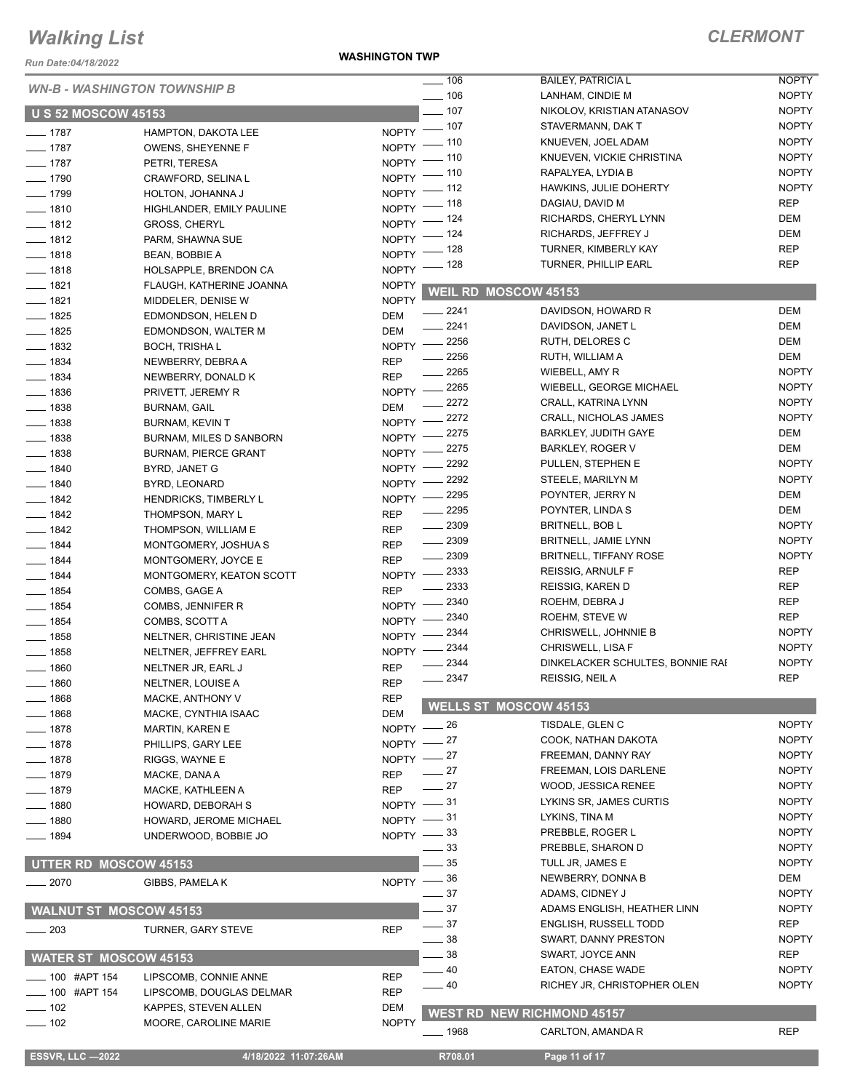*Run Date:04/18/2022*

#### **WASHINGTON TWP**

|                                     |                                |                    | $\frac{1}{2}$ 106    | <b>BAILEY, PATRICIA L</b>         | <b>NOPTY</b> |
|-------------------------------------|--------------------------------|--------------------|----------------------|-----------------------------------|--------------|
| <b>WN-B - WASHINGTON TOWNSHIP B</b> |                                |                    | $\frac{1}{2}$ 106    | LANHAM, CINDIE M                  | <b>NOPTY</b> |
| <b>U S 52 MOSCOW 45153</b>          |                                |                    | $-107$               | NIKOLOV, KRISTIAN ATANASOV        | <b>NOPTY</b> |
|                                     |                                | NOPTY -            | $-107$               | STAVERMANN, DAK T                 | <b>NOPTY</b> |
| $- 1787$                            | HAMPTON, DAKOTA LEE            | <b>NOPTY</b>       | . 110                | KNUEVEN, JOEL ADAM                | <b>NOPTY</b> |
| $- 1787$                            | OWENS, SHEYENNE F              |                    | . 110                | KNUEVEN, VICKIE CHRISTINA         | <b>NOPTY</b> |
| $- 1787$                            | PETRI, TERESA                  | NOPTY <sup>-</sup> | - 110                | RAPALYEA, LYDIA B                 | <b>NOPTY</b> |
| $- 1790$                            | CRAWFORD, SELINA L             | NOPTY <sup>-</sup> | $-112$               | HAWKINS, JULIE DOHERTY            | <b>NOPTY</b> |
| $- 1799$                            | HOLTON, JOHANNA J              | NOPTY <sup>-</sup> | _ 118                | DAGIAU, DAVID M                   | <b>REP</b>   |
| $- 1810$                            | HIGHLANDER, EMILY PAULINE      | NOPTY <sup>-</sup> | - 124                | RICHARDS, CHERYL LYNN             | DEM          |
| $- 1812$                            | <b>GROSS, CHERYL</b>           | <b>NOPTY</b>       | _ 124                | RICHARDS, JEFFREY J               | <b>DEM</b>   |
| $- 1812$                            | PARM, SHAWNA SUE               | NOPTY <sup>-</sup> | - 128                | TURNER, KIMBERLY KAY              | <b>REP</b>   |
| $- 1818$                            | <b>BEAN, BOBBIE A</b>          | NOPTY <sup>-</sup> | _ 128                | TURNER, PHILLIP EARL              | <b>REP</b>   |
| $- 1818$                            | HOLSAPPLE, BRENDON CA          | $N$ OPTY -         |                      |                                   |              |
| $- 1821$                            | FLAUGH, KATHERINE JOANNA       | <b>NOPTY</b>       | WEIL RD MOSCOW 45153 |                                   |              |
| $- 1821$                            | MIDDELER, DENISE W             | <b>NOPTY</b>       |                      |                                   |              |
| $- 1825$                            | EDMONDSON, HELEN D             | <b>DEM</b>         | 2241                 | DAVIDSON, HOWARD R                | <b>DEM</b>   |
| $- 1825$                            | EDMONDSON, WALTER M            | <b>DEM</b>         | $-2241$              | DAVIDSON, JANET L                 | <b>DEM</b>   |
| $- 1832$                            | <b>BOCH, TRISHAL</b>           |                    | NOPTY -2256          | RUTH, DELORES C                   | <b>DEM</b>   |
| $\frac{1}{2}$ 1834                  | NEWBERRY, DEBRA A              | <b>REP</b>         | 2256                 | RUTH, WILLIAM A                   | DEM          |
| $- 1834$                            | NEWBERRY, DONALD K             | <b>REP</b>         | $\frac{1}{2265}$     | WIEBELL, AMY R                    | <b>NOPTY</b> |
| $- 1836$                            | PRIVETT, JEREMY R              | $NOPTY$ –          | 2265                 | WIEBELL, GEORGE MICHAEL           | <b>NOPTY</b> |
| $\equiv$ 1838                       | <b>BURNAM, GAIL</b>            | <b>DEM</b>         | 2272                 | CRALL, KATRINA LYNN               | <b>NOPTY</b> |
| $- 1838$                            | <b>BURNAM, KEVIN T</b>         | NOPTY -            | 2272                 | <b>CRALL, NICHOLAS JAMES</b>      | <b>NOPTY</b> |
| $- 1838$                            | <b>BURNAM, MILES D SANBORN</b> | NOPTY -            | 2275                 | <b>BARKLEY, JUDITH GAYE</b>       | DEM          |
| $- 1838$                            | <b>BURNAM, PIERCE GRANT</b>    | NOPTY -            | 2275                 | <b>BARKLEY, ROGER V</b>           | DEM          |
| $- 1840$                            | BYRD, JANET G                  | NOPTY -            | 2292                 | PULLEN, STEPHEN E                 | <b>NOPTY</b> |
| $- 1840$                            | BYRD, LEONARD                  | $N$ OPTY $-$       | 2292                 | STEELE, MARILYN M                 | <b>NOPTY</b> |
| $- 1842$                            | <b>HENDRICKS, TIMBERLY L</b>   | $NOPTY$ –          | 2295                 | POYNTER, JERRY N                  | DEM          |
| $- 1842$                            |                                | <b>REP</b>         | 2295                 | POYNTER, LINDA S                  | DEM          |
| $- 1842$                            | THOMPSON, MARY L               | <b>REP</b>         | $-2309$              | <b>BRITNELL, BOB L</b>            | <b>NOPTY</b> |
|                                     | THOMPSON, WILLIAM E            |                    | 2309                 | <b>BRITNELL, JAMIE LYNN</b>       | <b>NOPTY</b> |
| $- 1844$                            | MONTGOMERY, JOSHUA S           | <b>REP</b>         | $-2309$              | <b>BRITNELL, TIFFANY ROSE</b>     | <b>NOPTY</b> |
| $- 1844$                            | MONTGOMERY, JOYCE E            | <b>REP</b>         | 2333                 | REISSIG, ARNULF F                 | <b>REP</b>   |
| $- 1844$                            | MONTGOMERY, KEATON SCOTT       | $NOPTY$ --         | 2333                 | REISSIG, KAREN D                  | <b>REP</b>   |
| $- 1854$                            | COMBS, GAGE A                  | <b>REP</b>         | 2340                 | ROEHM, DEBRA J                    | <b>REP</b>   |
| $-1854$                             | COMBS, JENNIFER R              | $NOPTY$ --         | 2340                 |                                   | <b>REP</b>   |
| $- 1854$                            | COMBS, SCOTT A                 | <b>NOPTY</b>       | 2344                 | ROEHM, STEVE W                    | <b>NOPTY</b> |
| $- 1858$                            | NELTNER, CHRISTINE JEAN        | NOPTY -            |                      | CHRISWELL, JOHNNIE B              |              |
| $- 1858$                            | NELTNER, JEFFREY EARL          | <b>NOPTY</b>       | 2344                 | CHRISWELL, LISA F                 | <b>NOPTY</b> |
| $\frac{1}{2}$ 1860                  | NELTNER JR, EARL J             | <b>REP</b>         | 2344                 | DINKELACKER SCHULTES, BONNIE RAI  | <b>NOPTY</b> |
| $- 1860$                            | NELTNER, LOUISE A              | <b>REP</b>         | $-2347$              | REISSIG, NEIL A                   | <b>REP</b>   |
| _ 1868                              | MACKE, ANTHONY V               | <b>REP</b>         |                      |                                   |              |
| 1868                                | MACKE, CYNTHIA ISAAC           | <b>DEM</b>         |                      | <b>WELLS ST MOSCOW 45153</b>      |              |
| $= 1878$                            | <b>MARTIN, KAREN E</b>         | NOPTY $-$ 26       |                      | TISDALE, GLEN C                   | <b>NOPTY</b> |
| $-1878$                             | PHILLIPS, GARY LEE             | NOPTY $-$ 27       |                      | COOK, NATHAN DAKOTA               | <b>NOPTY</b> |
| $- 1878$                            | RIGGS, WAYNE E                 | NOPTY $-27$        |                      | FREEMAN, DANNY RAY                | <b>NOPTY</b> |
| $- 1879$                            | MACKE, DANA A                  | <b>REP</b>         | 27                   | FREEMAN, LOIS DARLENE             | <b>NOPTY</b> |
| $-1879$                             | MACKE, KATHLEEN A              | <b>REP</b>         | $-27$                | <b>WOOD, JESSICA RENEE</b>        | <b>NOPTY</b> |
| $-1880$                             | HOWARD, DEBORAH S              | NOPTY $-31$        |                      | LYKINS SR, JAMES CURTIS           | <b>NOPTY</b> |
| $-1880$                             | HOWARD, JEROME MICHAEL         | NOPTY $-31$        |                      | LYKINS, TINA M                    | <b>NOPTY</b> |
| $- 1894$                            | UNDERWOOD, BOBBIE JO           | NOPTY $-33$        |                      | PREBBLE, ROGER L                  | <b>NOPTY</b> |
|                                     |                                |                    | 33                   | PREBBLE, SHARON D                 | <b>NOPTY</b> |
| UTTER RD MOSCOW 45153               |                                |                    | 35                   | TULL JR, JAMES E                  | <b>NOPTY</b> |
|                                     |                                |                    | 36                   | NEWBERRY, DONNA B                 | DEM          |
| $-2070$                             | GIBBS, PAMELA K                | <b>NOPTY</b>       | 37                   | ADAMS, CIDNEY J                   | <b>NOPTY</b> |
|                                     |                                |                    | 37                   | ADAMS ENGLISH, HEATHER LINN       | <b>NOPTY</b> |
| <b>WALNUT ST MOSCOW 45153</b>       |                                |                    | 37                   | <b>ENGLISH, RUSSELL TODD</b>      | REP          |
| $\sim$ 203                          | <b>TURNER, GARY STEVE</b>      | <b>REP</b>         |                      |                                   |              |
|                                     |                                |                    | 38                   | SWART, DANNY PRESTON              | <b>NOPTY</b> |
| <b>WATER ST MOSCOW 45153</b>        |                                |                    | 38                   | SWART, JOYCE ANN                  | <b>REP</b>   |
| _ 100 #APT 154                      | LIPSCOMB, CONNIE ANNE          | <b>REP</b>         | 40                   | EATON, CHASE WADE                 | <b>NOPTY</b> |
| $-100$ #APT 154                     | LIPSCOMB, DOUGLAS DELMAR       | <b>REP</b>         | 40                   | RICHEY JR, CHRISTOPHER OLEN       | <b>NOPTY</b> |
| $- 102$                             | KAPPES, STEVEN ALLEN           | DEM                |                      |                                   |              |
| $\frac{1}{2}$ 102                   | MOORE, CAROLINE MARIE          | <b>NOPTY</b>       |                      | <b>WEST RD NEW RICHMOND 45157</b> |              |
|                                     |                                |                    | ___ 1968             | CARLTON, AMANDA R                 | <b>REP</b>   |
| <b>ESSVR, LLC -2022</b>             | 4/18/2022 11:07:26AM           |                    | R708.01              | Page 11 of 17                     |              |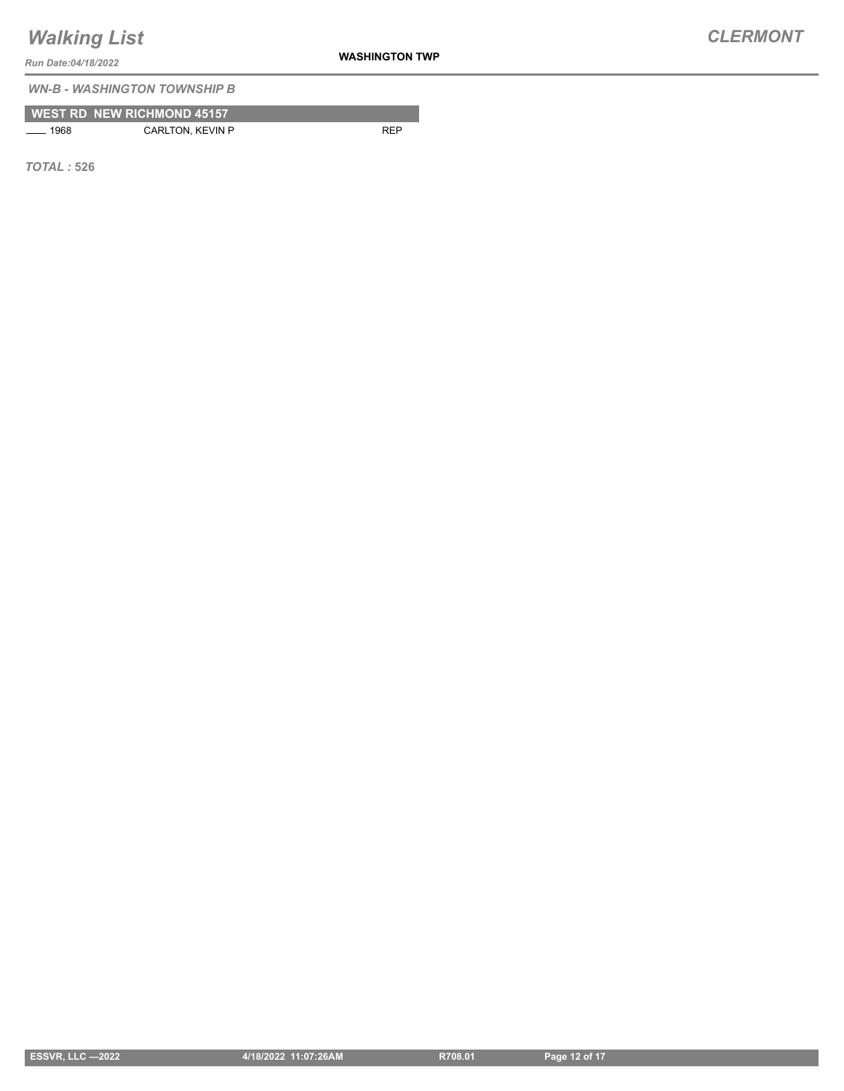**WASHINGTON TWP**

*Run Date:04/18/2022*

*WN-B - WASHINGTON TOWNSHIP B*

| <b>WEST RD NEW RICHMOND 45157</b> |  |
|-----------------------------------|--|
|                                   |  |

1968 CARLTON, KEVIN P REP

*TOTAL :* **526**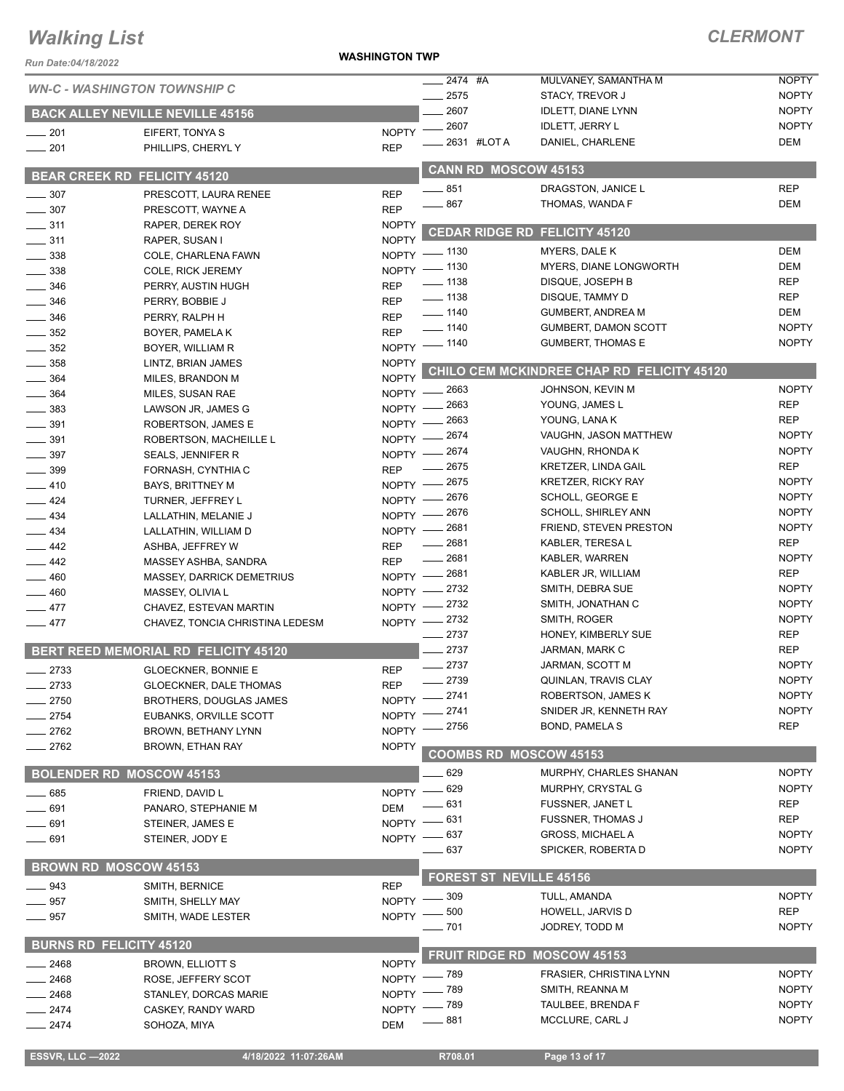**WASHINGTON TWP**

### *CLERMONT*

| Run Date:04/18/2022                    |                                                             | <b>WASHINGTON TWP</b>      |                          |                                |                                                     |                              |
|----------------------------------------|-------------------------------------------------------------|----------------------------|--------------------------|--------------------------------|-----------------------------------------------------|------------------------------|
| <b>WN-C - WASHINGTON TOWNSHIP C</b>    |                                                             |                            | __ 2474 #A               |                                | MULVANEY, SAMANTHA M                                | <b>NOPTY</b>                 |
|                                        |                                                             |                            | 2575                     |                                | <b>STACY, TREVOR J</b>                              | <b>NOPTY</b>                 |
|                                        | <b>BACK ALLEY NEVILLE NEVILLE 45156</b>                     |                            | 2607<br>2607             |                                | <b>IDLETT, DIANE LYNN</b><br><b>IDLETT, JERRY L</b> | <b>NOPTY</b><br><b>NOPTY</b> |
| $-201$                                 | EIFERT, TONYA S                                             | $N$ OPTY $-$               |                          | 2631 #LOTA                     | DANIEL, CHARLENE                                    | <b>DEM</b>                   |
| $\frac{1}{201}$                        | PHILLIPS, CHERYLY                                           | <b>REP</b>                 |                          |                                |                                                     |                              |
| <b>BEAR CREEK RD FELICITY 45120</b>    |                                                             |                            |                          | <b>CANN RD MOSCOW 45153</b>    |                                                     |                              |
| $\frac{1}{2}$ 307                      | PRESCOTT, LAURA RENEE                                       | <b>REP</b>                 | $-851$                   |                                | DRAGSTON, JANICE L                                  | <b>REP</b>                   |
| $\frac{1}{2}$ 307                      | PRESCOTT. WAYNE A                                           | <b>REP</b>                 | .867                     |                                | THOMAS, WANDA F                                     | <b>DEM</b>                   |
| $\frac{1}{2}$ 311                      | RAPER, DEREK ROY                                            | <b>NOPTY</b>               |                          | <b>CEDAR RIDGE RD</b>          | FELICITY 45120                                      |                              |
| $\frac{1}{2}$ 311                      | RAPER, SUSAN I                                              | <b>NOPTY</b>               |                          |                                |                                                     | <b>DEM</b>                   |
| $\frac{1}{2}$ 338                      | COLE, CHARLENA FAWN                                         |                            | NOPTY - 1130             |                                | MYERS, DALE K<br>MYERS, DIANE LONGWORTH             | <b>DEM</b>                   |
| $=$ 338                                | COLE, RICK JEREMY                                           |                            | NOPTY - 1130<br>$- 1138$ |                                | DISQUE, JOSEPH B                                    | <b>REP</b>                   |
| $-346$                                 | PERRY, AUSTIN HUGH                                          | <b>REP</b>                 | $\frac{1}{2}$ 1138       |                                | DISQUE, TAMMY D                                     | <b>REP</b>                   |
| $\frac{1}{2}$ 346<br>$\frac{1}{2}$ 346 | PERRY, BOBBIE J<br>PERRY, RALPH H                           | <b>REP</b><br><b>REP</b>   | $\frac{1}{2}$ 1140       |                                | <b>GUMBERT, ANDREA M</b>                            | <b>DEM</b>                   |
| $\frac{1}{2}$ 352                      | BOYER, PAMELA K                                             | <b>REP</b>                 | $- 1140$                 |                                | <b>GUMBERT, DAMON SCOTT</b>                         | <b>NOPTY</b>                 |
| $-352$                                 | BOYER, WILLIAM R                                            |                            | NOPTY - 1140             |                                | <b>GUMBERT, THOMAS E</b>                            | <b>NOPTY</b>                 |
| $-358$                                 | LINTZ, BRIAN JAMES                                          | <b>NOPTY</b>               |                          |                                |                                                     |                              |
| 364                                    | MILES, BRANDON M                                            | <b>NOPTY</b>               |                          |                                | CHILO CEM MCKINDREE CHAP RD FELICITY 45120          |                              |
| 364                                    | MILES, SUSAN RAE                                            |                            | NOPTY -2663              |                                | JOHNSON, KEVIN M                                    | <b>NOPTY</b>                 |
| $-383$                                 | LAWSON JR, JAMES G                                          | $N$ OPTY $-$               | 2663                     |                                | YOUNG, JAMES L                                      | <b>REP</b>                   |
| $-391$                                 | ROBERTSON, JAMES E                                          | $N$ OPTY $-$               | 2663                     |                                | YOUNG, LANA K                                       | <b>REP</b>                   |
| $-391$                                 | ROBERTSON, MACHEILLE L                                      | $N$ OPTY $-$               | 2674                     |                                | VAUGHN, JASON MATTHEW                               | <b>NOPTY</b><br><b>NOPTY</b> |
| 397                                    | SEALS, JENNIFER R                                           | $N$ OPTY $-$               | _ 2674<br>$-2675$        |                                | VAUGHN, RHONDA K<br><b>KRETZER, LINDA GAIL</b>      | <b>REP</b>                   |
| 399                                    | FORNASH, CYNTHIA C                                          | <b>REP</b><br>$N$ OPTY $-$ | $-2675$                  |                                | <b>KRETZER, RICKY RAY</b>                           | <b>NOPTY</b>                 |
| $-410$<br>$-424$                       | <b>BAYS, BRITTNEY M</b><br>TURNER, JEFFREY L                | $NOPTY -$                  | . 2676                   |                                | SCHOLL, GEORGE E                                    | <b>NOPTY</b>                 |
| $\equiv$ 434                           | LALLATHIN, MELANIE J                                        | $N$ OPTY $-$               | 2676                     |                                | <b>SCHOLL, SHIRLEY ANN</b>                          | <b>NOPTY</b>                 |
| $\frac{1}{2}$ 434                      | LALLATHIN, WILLIAM D                                        | $N$ OPTY $-$               | 2681                     |                                | FRIEND, STEVEN PRESTON                              | <b>NOPTY</b>                 |
| $\equiv$ 442                           | ASHBA, JEFFREY W                                            | <b>REP</b>                 | _ 2681                   |                                | KABLER, TERESA L                                    | <b>REP</b>                   |
| $\frac{442}{5}$                        | MASSEY ASHBA, SANDRA                                        | <b>REP</b>                 | $-2681$                  |                                | KABLER, WARREN                                      | <b>NOPTY</b>                 |
| 460                                    | <b>MASSEY, DARRICK DEMETRIUS</b>                            | $N$ OPTY $-$               | $-2681$                  |                                | KABLER JR, WILLIAM                                  | <b>REP</b>                   |
| $-460$                                 | MASSEY, OLIVIA L                                            | $N$ OPTY $-$               | 2732                     |                                | SMITH, DEBRA SUE                                    | <b>NOPTY</b>                 |
| $-477$                                 | CHAVEZ, ESTEVAN MARTIN                                      | $NOPTY -$                  | 2732                     |                                | SMITH, JONATHAN C                                   | <b>NOPTY</b>                 |
| $-477$                                 | CHAVEZ, TONCIA CHRISTINA LEDESM                             |                            | NOPTY -2732<br>2737      |                                | SMITH, ROGER<br>HONEY, KIMBERLY SUE                 | <b>NOPTY</b><br><b>REP</b>   |
|                                        | BERT REED MEMORIAL RD FELICITY 45120                        |                            | 2737                     |                                | JARMAN, MARK C                                      | <b>REP</b>                   |
|                                        |                                                             |                            | $-2737$                  |                                | JARMAN, SCOTT M                                     | <b>NOPTY</b>                 |
| 2733<br>2733                           | <b>GLOECKNER, BONNIE E</b><br><b>GLOECKNER, DALE THOMAS</b> | <b>REP</b><br><b>REP</b>   | $-2739$                  |                                | QUINLAN, TRAVIS CLAY                                | <b>NOPTY</b>                 |
| 2750                                   | <b>BROTHERS, DOUGLAS JAMES</b>                              | <b>NOPTY</b>               | 2741                     |                                | ROBERTSON, JAMES K                                  | <b>NOPTY</b>                 |
| 2754                                   | EUBANKS, ORVILLE SCOTT                                      | <b>NOPTY</b>               | 2741                     |                                | SNIDER JR, KENNETH RAY                              | <b>NOPTY</b>                 |
| . 2762                                 | BROWN, BETHANY LYNN                                         | NOPTY -                    | _ 2756                   |                                | BOND, PAMELA S                                      | <b>REP</b>                   |
| $= 2762$                               | <b>BROWN, ETHAN RAY</b>                                     | <b>NOPTY</b>               |                          |                                | <b>COOMBS RD MOSCOW 45153</b>                       |                              |
|                                        |                                                             |                            |                          |                                |                                                     |                              |
| <b>BOLENDER RD MOSCOW 45153</b>        |                                                             |                            | 629                      |                                | MURPHY, CHARLES SHANAN                              | <b>NOPTY</b>                 |
| $\frac{1}{2}$ 685                      | FRIEND, DAVID L                                             |                            | NOPTY - 629<br>- 631     |                                | MURPHY, CRYSTAL G<br>FUSSNER, JANET L               | <b>NOPTY</b><br><b>REP</b>   |
| 691                                    | PANARO, STEPHANIE M                                         | <b>DEM</b>                 | _ 631                    |                                | <b>FUSSNER, THOMAS J</b>                            | <b>REP</b>                   |
| $-691$                                 | STEINER, JAMES E                                            | $NOPTY =$                  | NOPTY - 637              |                                | <b>GROSS, MICHAEL A</b>                             | <b>NOPTY</b>                 |
| $-691$                                 | STEINER, JODY E                                             |                            | 637                      |                                | SPICKER, ROBERTA D                                  | <b>NOPTY</b>                 |
| <b>BROWN RD MOSCOW 45153</b>           |                                                             |                            |                          |                                |                                                     |                              |
| $\frac{1}{2}$ 943                      | SMITH, BERNICE                                              | <b>REP</b>                 |                          | <b>FOREST ST NEVILLE 45156</b> |                                                     |                              |
| $-957$                                 | SMITH, SHELLY MAY                                           | <b>NOPTY</b>               | $-309$                   |                                | TULL, AMANDA                                        | <b>NOPTY</b>                 |
| $\_\_957$                              | SMITH, WADE LESTER                                          | <b>NOPTY</b>               | 500                      |                                | HOWELL, JARVIS D                                    | <b>REP</b>                   |
|                                        |                                                             |                            | $-701$                   |                                | JODREY, TODD M                                      | <b>NOPTY</b>                 |
| <b>BURNS RD FELICITY 45120</b>         |                                                             |                            |                          |                                | <b>FRUIT RIDGE RD MOSCOW 45153</b>                  |                              |
| 2468                                   | <b>BROWN, ELLIOTT S</b>                                     | <b>NOPTY</b>               |                          |                                | FRASIER, CHRISTINA LYNN                             | <b>NOPTY</b>                 |
| 2468                                   | ROSE, JEFFERY SCOT                                          | NOPTY -                    | _ 789<br>_ 789           |                                | SMITH, REANNA M                                     | <b>NOPTY</b>                 |
| 2468                                   | STANLEY, DORCAS MARIE                                       | NOPTY -<br><b>NOPTY</b>    | . 789                    |                                | TAULBEE, BRENDA F                                   | <b>NOPTY</b>                 |
| $-2474$<br>$-2474$                     | CASKEY, RANDY WARD<br>SOHOZA, MIYA                          | <b>DEM</b>                 | 881                      |                                | MCCLURE, CARL J                                     | <b>NOPTY</b>                 |
|                                        |                                                             |                            |                          |                                |                                                     |                              |

**ESSVR, LLC -2022 4/18/2022 11:07:26AM** R708.01 **Page 13 of 17**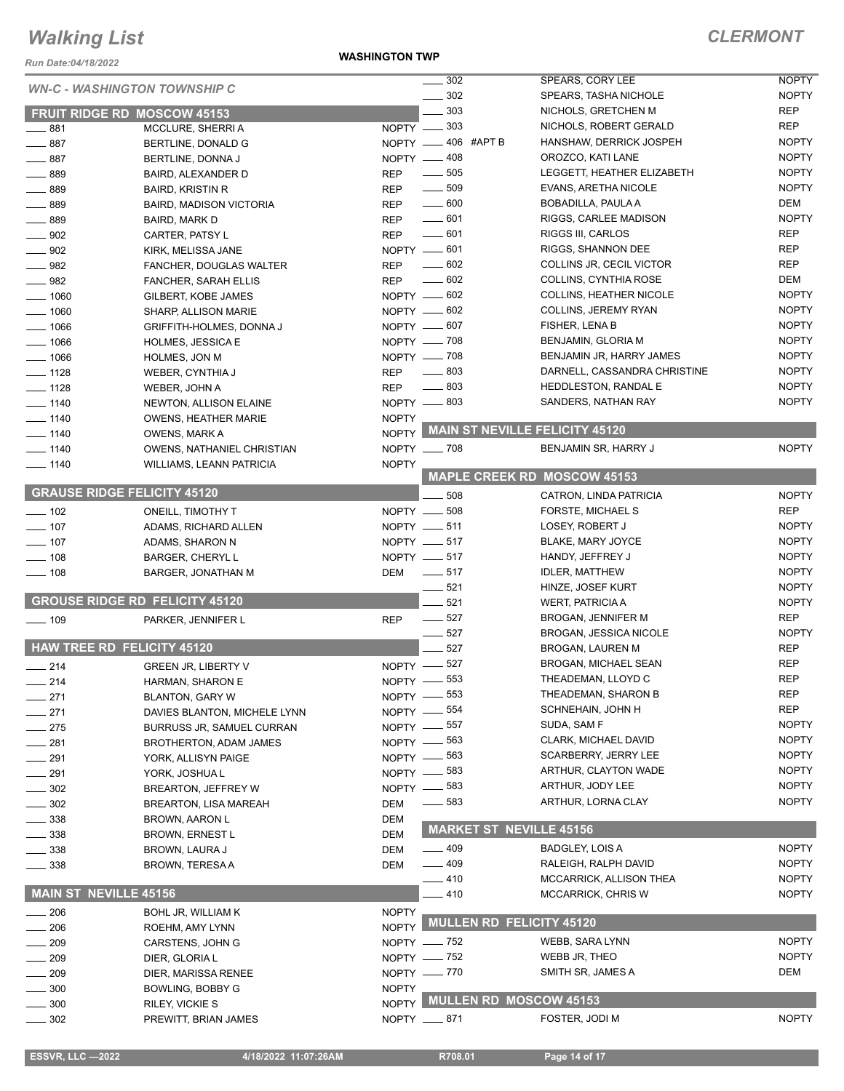*Run Date:04/18/2022*

**WASHINGTON TWP**

### *CLERMONT*

|                                    |                                       |              | 302<br>$\frac{1}{2}$  | SPEARS, CORY LEE                     | <b>NOPTY</b> |
|------------------------------------|---------------------------------------|--------------|-----------------------|--------------------------------------|--------------|
|                                    | <b>WN-C - WASHINGTON TOWNSHIP C</b>   |              | 302                   | SPEARS, TASHA NICHOLE                | <b>NOPTY</b> |
|                                    | <b>FRUIT RIDGE RD MOSCOW 45153</b>    |              | 303                   | NICHOLS, GRETCHEN M                  | <b>REP</b>   |
| $\frac{1}{2}$ 881                  | MCCLURE, SHERRIA                      |              | $NOPTY$ $\_\_\_\$ 303 | NICHOLS, ROBERT GERALD               | <b>REP</b>   |
| $-887$                             | BERTLINE, DONALD G                    |              | NOPTY -406 #APT B     | HANSHAW, DERRICK JOSPEH              | <b>NOPTY</b> |
| $-887$                             | BERTLINE, DONNA J                     |              | NOPTY -408            | OROZCO, KATI LANE                    | <b>NOPTY</b> |
| 889                                | BAIRD, ALEXANDER D                    | <b>REP</b>   | $\frac{1}{2}$ 505     | LEGGETT, HEATHER ELIZABETH           | <b>NOPTY</b> |
| $-889$                             | <b>BAIRD, KRISTIN R</b>               | <b>REP</b>   | $\frac{1}{2}$ 509     | EVANS, ARETHA NICOLE                 | <b>NOPTY</b> |
| 889                                |                                       | REP          | $\frac{1}{2}$ 600     | BOBADILLA, PAULA A                   | DEM          |
|                                    | <b>BAIRD, MADISON VICTORIA</b>        |              | $\frac{1}{2}$ 601     | RIGGS, CARLEE MADISON                | <b>NOPTY</b> |
| 889                                | <b>BAIRD, MARK D</b>                  | <b>REP</b>   | $-601$                | RIGGS III, CARLOS                    | <b>REP</b>   |
| 902                                | CARTER, PATSY L                       | <b>REP</b>   | NOPTY -601            | RIGGS, SHANNON DEE                   | <b>REP</b>   |
| $\frac{1}{2}$ 902                  | KIRK, MELISSA JANE                    |              | $- 602$               | COLLINS JR, CECIL VICTOR             | <b>REP</b>   |
| $\frac{1}{2}$ 982                  | FANCHER, DOUGLAS WALTER               | <b>REP</b>   |                       |                                      |              |
| $\frac{1}{2}$ 982                  | FANCHER, SARAH ELLIS                  | <b>REP</b>   | $- 602$               | COLLINS, CYNTHIA ROSE                | DEM          |
| $- 1060$                           | GILBERT, KOBE JAMES                   |              | $NOPTY = 602$         | <b>COLLINS, HEATHER NICOLE</b>       | <b>NOPTY</b> |
| $- 1060$                           | SHARP, ALLISON MARIE                  |              | NOPTY -602            | COLLINS, JEREMY RYAN                 | <b>NOPTY</b> |
| $-1066$                            | <b>GRIFFITH-HOLMES, DONNA J</b>       |              | NOPTY -607            | FISHER, LENA B                       | <b>NOPTY</b> |
| $-1066$                            | <b>HOLMES, JESSICA E</b>              |              | NOPTY - 708           | <b>BENJAMIN, GLORIA M</b>            | <b>NOPTY</b> |
| $-1066$                            | <b>HOLMES, JON M</b>                  |              | NOPTY - 708           | BENJAMIN JR, HARRY JAMES             | <b>NOPTY</b> |
| $-1128$                            | WEBER, CYNTHIA J                      | <b>REP</b>   | $\frac{1}{2}$ 803     | DARNELL, CASSANDRA CHRISTINE         | <b>NOPTY</b> |
| $- 1128$                           | WEBER, JOHN A                         | <b>REP</b>   | $-803$                | <b>HEDDLESTON, RANDAL E</b>          | <b>NOPTY</b> |
| $- 1140$                           | NEWTON, ALLISON ELAINE                |              | NOPTY -803            | SANDERS, NATHAN RAY                  | <b>NOPTY</b> |
| $- 1140$                           | <b>OWENS, HEATHER MARIE</b>           | <b>NOPTY</b> |                       |                                      |              |
| $- 1140$                           | <b>OWENS, MARK A</b>                  |              |                       | NOPTY MAIN ST NEVILLE FELICITY 45120 |              |
| $- 1140$                           | OWENS, NATHANIEL CHRISTIAN            |              | NOPTY __ 708          | BENJAMIN SR, HARRY J                 | <b>NOPTY</b> |
| $- 1140$                           | <b>WILLIAMS, LEANN PATRICIA</b>       | <b>NOPTY</b> |                       |                                      |              |
|                                    |                                       |              |                       | <b>MAPLE CREEK RD MOSCOW 45153</b>   |              |
| <b>GRAUSE RIDGE FELICITY 45120</b> |                                       |              | 508                   | CATRON, LINDA PATRICIA               | <b>NOPTY</b> |
| $\frac{1}{2}$ 102                  | ONEILL, TIMOTHY T                     |              | NOPTY __ 508          | FORSTE, MICHAEL S                    | <b>REP</b>   |
| $- 107$                            | ADAMS, RICHARD ALLEN                  |              | NOPTY __ 511          | LOSEY, ROBERT J                      | <b>NOPTY</b> |
| $-107$                             | ADAMS, SHARON N                       |              | NOPTY __ 517          | BLAKE, MARY JOYCE                    | <b>NOPTY</b> |
| $-108$                             | <b>BARGER, CHERYL L</b>               |              | NOPTY __ 517          | HANDY, JEFFREY J                     | <b>NOPTY</b> |
| $-108$                             | BARGER, JONATHAN M                    | DEM          | $\frac{1}{2}$ 517     | <b>IDLER, MATTHEW</b>                | <b>NOPTY</b> |
|                                    |                                       |              | 521                   | HINZE, JOSEF KURT                    | <b>NOPTY</b> |
|                                    | <b>GROUSE RIDGE RD FELICITY 45120</b> |              | 521                   | <b>WERT, PATRICIA A</b>              | <b>NOPTY</b> |
|                                    |                                       | <b>REP</b>   | $\frac{1}{2}$ 527     | <b>BROGAN, JENNIFER M</b>            | <b>REP</b>   |
| $\frac{1}{2}$ 109                  | PARKER, JENNIFER L                    |              | $\frac{1}{2}$ 527     | <b>BROGAN, JESSICA NICOLE</b>        | <b>NOPTY</b> |
| <b>HAW TREE RD FELICITY 45120</b>  |                                       |              | 527                   |                                      | <b>REP</b>   |
|                                    |                                       |              | 527                   | <b>BROGAN, LAUREN M</b>              | <b>REP</b>   |
| $\frac{1}{214}$                    | <b>GREEN JR. LIBERTY V</b>            | NOPTY -      |                       | <b>BROGAN, MICHAEL SEAN</b>          |              |
| $\frac{1}{214}$                    | HARMAN, SHARON E                      |              | NOPTY -853            | THEADEMAN, LLOYD C                   | <b>REP</b>   |
| _ 271                              | <b>BLANTON, GARY W</b>                |              | NOPTY - 553           | THEADEMAN, SHARON B                  | <b>REP</b>   |
| 271                                | DAVIES BLANTON, MICHELE LYNN          |              | NOPTY -854            | SCHNEHAIN, JOHN H                    | <b>REP</b>   |
| 275                                | <b>BURRUSS JR, SAMUEL CURRAN</b>      |              | NOPTY -857            | SUDA, SAM F                          | <b>NOPTY</b> |
| 281                                | <b>BROTHERTON, ADAM JAMES</b>         | NOPTY -      | 563                   | CLARK, MICHAEL DAVID                 | <b>NOPTY</b> |
| 291                                | YORK, ALLISYN PAIGE                   |              | NOPTY -863            | <b>SCARBERRY, JERRY LEE</b>          | <b>NOPTY</b> |
| 291                                | YORK, JOSHUA L                        | $NOPTY -$    | _ 583                 | ARTHUR, CLAYTON WADE                 | <b>NOPTY</b> |
| 302                                | BREARTON, JEFFREY W                   |              | NOPTY -883            | ARTHUR, JODY LEE                     | <b>NOPTY</b> |
| 302                                | <b>BREARTON, LISA MAREAH</b>          | <b>DEM</b>   | —— 583                | ARTHUR, LORNA CLAY                   | <b>NOPTY</b> |
| $-338$                             | <b>BROWN, AARON L</b>                 | DEM          |                       |                                      |              |
| $=$ 338                            | <b>BROWN, ERNEST L</b>                | <b>DEM</b>   |                       | <b>MARKET ST NEVILLE 45156</b>       |              |
| _ 338                              | BROWN, LAURA J                        | DEM          | $-409$                | <b>BADGLEY, LOIS A</b>               | <b>NOPTY</b> |
| $\_\_$ 338                         | <b>BROWN, TERESA A</b>                | DEM          | $-409$                | RALEIGH, RALPH DAVID                 | <b>NOPTY</b> |
|                                    |                                       |              | $-410$                | MCCARRICK, ALLISON THEA              | <b>NOPTY</b> |
| <b>MAIN ST NEVILLE 45156</b>       |                                       |              | 410                   | <b>MCCARRICK, CHRIS W</b>            | <b>NOPTY</b> |
| 206                                | BOHL JR, WILLIAM K                    | <b>NOPTY</b> |                       |                                      |              |
| 206                                | ROEHM, AMY LYNN                       | <b>NOPTY</b> |                       | <b>MULLEN RD FELICITY 45120</b>      |              |
|                                    |                                       |              | NOPTY - 752           | WEBB, SARA LYNN                      | <b>NOPTY</b> |
| 209                                | CARSTENS, JOHN G                      |              | NOPTY - 752           | WEBB JR, THEO                        | <b>NOPTY</b> |
| 209                                | DIER, GLORIA L                        |              |                       |                                      |              |
| 209                                | DIER, MARISSA RENEE                   |              | NOPTY -770            | SMITH SR, JAMES A                    | DEM          |
| 300                                | BOWLING, BOBBY G                      | <b>NOPTY</b> |                       | NOPTY MULLEN RD MOSCOW 45153         |              |
| 300                                | RILEY, VICKIE S                       |              |                       |                                      |              |
| $-302$                             | PREWITT, BRIAN JAMES                  |              | NOPTY __ 871          | FOSTER, JODI M                       | <b>NOPTY</b> |
|                                    |                                       |              |                       |                                      |              |

**ESSVR, LLC -2022** 4/18/2022 11:07:26AM R708.01 Page 14 of 17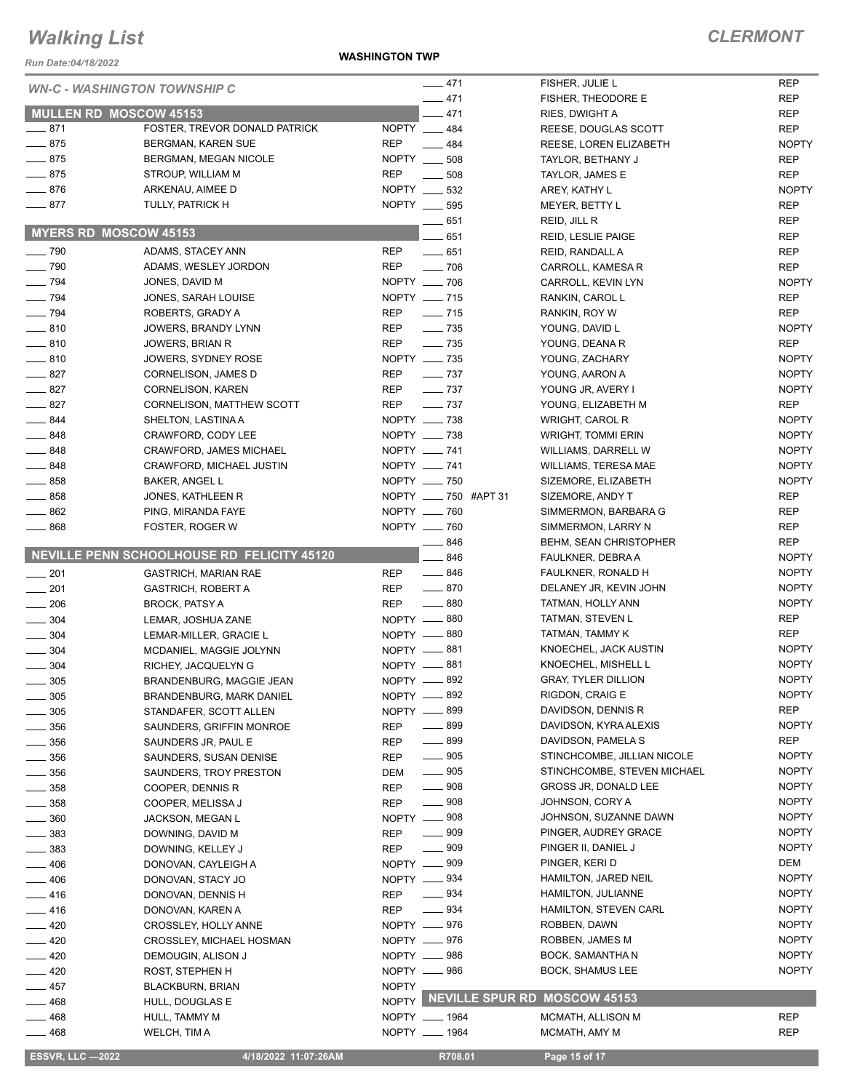*Run Date:04/18/2022*

**WASHINGTON TWP**

| <b>WN-C - WASHINGTON TOWNSHIP C</b> |                                            |              | $-471$                             | FISHER, JULIE L               | <b>REP</b>   |
|-------------------------------------|--------------------------------------------|--------------|------------------------------------|-------------------------------|--------------|
|                                     |                                            |              | $-471$                             | <b>FISHER, THEODORE E</b>     | <b>REP</b>   |
| <b>MULLEN RD MOSCOW 45153</b>       |                                            |              | $-471$                             | RIES, DWIGHT A                | <b>REP</b>   |
| $-871$                              | FOSTER, TREVOR DONALD PATRICK              |              | NOPTY __ 484                       | REESE, DOUGLAS SCOTT          | <b>REP</b>   |
| $-875$                              | BERGMAN, KAREN SUE                         | <b>REP</b>   | 484                                | REESE, LOREN ELIZABETH        | <b>NOPTY</b> |
| $-875$                              | BERGMAN, MEGAN NICOLE                      | NOPTY __     | 508                                | TAYLOR, BETHANY J             | <b>REP</b>   |
| $-875$                              | STROUP, WILLIAM M                          | <b>REP</b>   | 508                                | TAYLOR, JAMES E               | <b>REP</b>   |
| $- 876$                             | ARKENAU, AIMEE D                           |              | NOPTY __ 532                       | AREY, KATHY L                 | <b>NOPTY</b> |
| $-877$                              | TULLY, PATRICK H                           |              | NOPTY _____ 595                    | MEYER, BETTY L                | <b>REP</b>   |
|                                     |                                            |              | 651                                | REID, JILL R                  | <b>REP</b>   |
| <b>MYERS RD MOSCOW 45153</b>        |                                            |              | 651                                | REID, LESLIE PAIGE            | <b>REP</b>   |
| $- 790$                             | ADAMS, STACEY ANN                          | <b>REP</b>   | $-651$                             | REID, RANDALL A               | <b>REP</b>   |
| $\sim$ 790                          | ADAMS, WESLEY JORDON                       | <b>REP</b>   | $- 706$                            | CARROLL, KAMESA R             | <b>REP</b>   |
| $- 794$                             | JONES, DAVID M                             |              | NOPTY __ 706                       | CARROLL, KEVIN LYN            | <b>NOPTY</b> |
| $\frac{1}{2}$ 794                   | JONES, SARAH LOUISE                        |              | NOPTY __ 715                       | RANKIN, CAROL L               | <b>REP</b>   |
| $- 794$                             | ROBERTS, GRADY A                           | <b>REP</b>   | $- 715$                            | RANKIN, ROY W                 | <b>REP</b>   |
| $-810$                              | JOWERS, BRANDY LYNN                        | REP          | $\frac{1}{2}$ 735                  | YOUNG, DAVID L                | <b>NOPTY</b> |
| $-810$                              | JOWERS, BRIAN R                            | <b>REP</b>   | $\frac{1}{2}$ 735                  | YOUNG, DEANA R                | <b>REP</b>   |
| $-810$                              | JOWERS, SYDNEY ROSE                        |              | NOPTY __ 735                       | YOUNG, ZACHARY                | <b>NOPTY</b> |
| $-827$                              | CORNELISON, JAMES D                        | REP          | $\frac{1}{2}$ 737                  | YOUNG, AARON A                | <b>NOPTY</b> |
| $-827$                              | <b>CORNELISON, KAREN</b>                   | <b>REP</b>   | $- 737$                            | YOUNG JR, AVERY I             | <b>NOPTY</b> |
| $-827$                              | CORNELISON, MATTHEW SCOTT                  | REP          | $\frac{1}{2}$ 737                  | YOUNG, ELIZABETH M            | <b>REP</b>   |
| $-844$                              | SHELTON, LASTINA A                         |              | NOPTY __ 738                       | <b>WRIGHT, CAROL R</b>        | <b>NOPTY</b> |
| $-848$                              | CRAWFORD, CODY LEE                         |              | NOPTY __ 738                       | WRIGHT, TOMMI ERIN            | <b>NOPTY</b> |
| $-848$                              | <b>CRAWFORD, JAMES MICHAEL</b>             |              | NOPTY __ 741                       | WILLIAMS, DARRELL W           | <b>NOPTY</b> |
| $-848$                              | <b>CRAWFORD, MICHAEL JUSTIN</b>            |              | NOPTY __ 741                       | <b>WILLIAMS, TERESA MAE</b>   | <b>NOPTY</b> |
| $\frac{1}{2}$ 858                   | <b>BAKER, ANGEL L</b>                      |              | NOPTY __ 750                       | SIZEMORE, ELIZABETH           | <b>NOPTY</b> |
| $- 858$                             | JONES, KATHLEEN R                          |              | NOPTY __ 750 #APT 31               | SIZEMORE, ANDY T              | <b>REP</b>   |
| $-862$                              | PING, MIRANDA FAYE                         |              | NOPTY __ 760                       | SIMMERMON, BARBARA G          | <b>REP</b>   |
| $\equiv$ 868                        | FOSTER, ROGER W                            |              | NOPTY __ 760                       | SIMMERMON, LARRY N            | <b>REP</b>   |
|                                     |                                            |              | $-846$                             | <b>BEHM, SEAN CHRISTOPHER</b> | <b>REP</b>   |
|                                     | NEVILLE PENN SCHOOLHOUSE RD FELICITY 45120 |              | 846                                | FAULKNER, DEBRA A             | <b>NOPTY</b> |
| $\frac{1}{201}$                     |                                            | <b>REP</b>   | $\frac{1}{2}$ 846                  | FAULKNER, RONALD H            | <b>NOPTY</b> |
|                                     | <b>GASTRICH, MARIAN RAE</b>                |              | $-870$                             |                               | <b>NOPTY</b> |
| $\frac{1}{201}$                     | <b>GASTRICH, ROBERT A</b>                  | <b>REP</b>   |                                    | DELANEY JR, KEVIN JOHN        |              |
| $\frac{1}{206}$                     | <b>BROCK, PATSY A</b>                      | <b>REP</b>   | $-880$                             | TATMAN, HOLLY ANN             | <b>NOPTY</b> |
| $\frac{1}{2}$ 304                   | LEMAR, JOSHUA ZANE                         |              | NOPTY -880                         | TATMAN, STEVEN L              | <b>REP</b>   |
| $- 304$                             | LEMAR-MILLER, GRACIE L                     |              | NOPTY __ 880                       | TATMAN, TAMMY K               | <b>REP</b>   |
| $- 304$                             | MCDANIEL, MAGGIE JOLYNN                    |              | NOPTY -881                         | KNOECHEL, JACK AUSTIN         | <b>NOPTY</b> |
| $\frac{1}{2}$ 304                   | RICHEY, JACQUELYN G                        |              | NOPTY __ 881                       | KNOECHEL, MISHELL L           | <b>NOPTY</b> |
| $\equiv$ 305                        | BRANDENBURG, MAGGIE JEAN                   |              | NOPTY -892                         | <b>GRAY, TYLER DILLION</b>    | <b>NOPTY</b> |
| 305                                 | BRANDENBURG, MARK DANIEL                   |              | NOPTY -892                         | RIGDON, CRAIG E               | <b>NOPTY</b> |
| 305                                 | STANDAFER, SCOTT ALLEN                     | NOPTY -      | 899                                | DAVIDSON, DENNIS R            | <b>REP</b>   |
| 356                                 | SAUNDERS, GRIFFIN MONROE                   | REP          | $- 899$                            | DAVIDSON, KYRA ALEXIS         | <b>NOPTY</b> |
| 356                                 | SAUNDERS JR, PAUL E                        | REP          | $\frac{1}{2}$ 899                  | DAVIDSON, PAMELA S            | <b>REP</b>   |
| 356                                 | SAUNDERS, SUSAN DENISE                     | REP          | $- 905$                            | STINCHCOMBE, JILLIAN NICOLE   | <b>NOPTY</b> |
| _ 356                               | SAUNDERS, TROY PRESTON                     | DEM          | $\frac{1}{2}$ 905                  | STINCHCOMBE, STEVEN MICHAEL   | <b>NOPTY</b> |
| $\equiv$ 358                        | COOPER, DENNIS R                           | <b>REP</b>   | $- 908$                            | GROSS JR, DONALD LEE          | <b>NOPTY</b> |
| _ 358                               | COOPER, MELISSA J                          | <b>REP</b>   | $- 908$                            | JOHNSON, CORY A               | <b>NOPTY</b> |
| - 360                               | JACKSON, MEGAN L                           |              | NOPTY __ 908                       | JOHNSON, SUZANNE DAWN         | <b>NOPTY</b> |
| 383                                 | DOWNING, DAVID M                           | REP          | $- 909$                            | PINGER, AUDREY GRACE          | <b>NOPTY</b> |
| 383                                 | DOWNING, KELLEY J                          | <b>REP</b>   | $- 909$                            | PINGER II, DANIEL J           | <b>NOPTY</b> |
| 406                                 | DONOVAN, CAYLEIGH A                        |              | NOPTY __ 909                       | PINGER, KERI D                | DEM          |
| —— 406                              | DONOVAN, STACY JO                          |              | NOPTY -834                         | HAMILTON, JARED NEIL          | <b>NOPTY</b> |
| ____ 416                            | DONOVAN, DENNIS H                          | <b>REP</b>   | 934                                | HAMILTON, JULIANNE            | <b>NOPTY</b> |
| —— 416                              | DONOVAN, KAREN A                           | <b>REP</b>   | $- 934$                            | HAMILTON, STEVEN CARL         | <b>NOPTY</b> |
| $-420$                              | CROSSLEY, HOLLY ANNE                       |              | NOPTY -876                         | ROBBEN, DAWN                  | <b>NOPTY</b> |
| —— 420                              | CROSSLEY, MICHAEL HOSMAN                   |              | NOPTY __ 976                       | ROBBEN, JAMES M               | <b>NOPTY</b> |
| _ 420                               | DEMOUGIN, ALISON J                         |              | NOPTY -886                         | BOCK, SAMANTHA N              | <b>NOPTY</b> |
| _ 420                               | ROST, STEPHEN H                            |              | NOPTY __ 986                       | <b>BOCK, SHAMUS LEE</b>       | <b>NOPTY</b> |
| —— 457                              | BLACKBURN, BRIAN                           | <b>NOPTY</b> |                                    |                               |              |
| — 468                               | HULL, DOUGLAS E                            |              | NOPTY NEVILLE SPUR RD MOSCOW 45153 |                               |              |
| —— 468                              | HULL, TAMMY M                              |              | NOPTY __ 1964                      | MCMATH, ALLISON M             | <b>REP</b>   |
| _ 468                               | WELCH, TIM A                               |              | NOPTY __ 1964                      | MCMATH, AMY M                 | <b>REP</b>   |
|                                     |                                            |              |                                    |                               |              |
| <b>ESSVR, LLC -2022</b>             | 4/18/2022 11:07:26AM                       |              | R708.01                            | Page 15 of 17                 |              |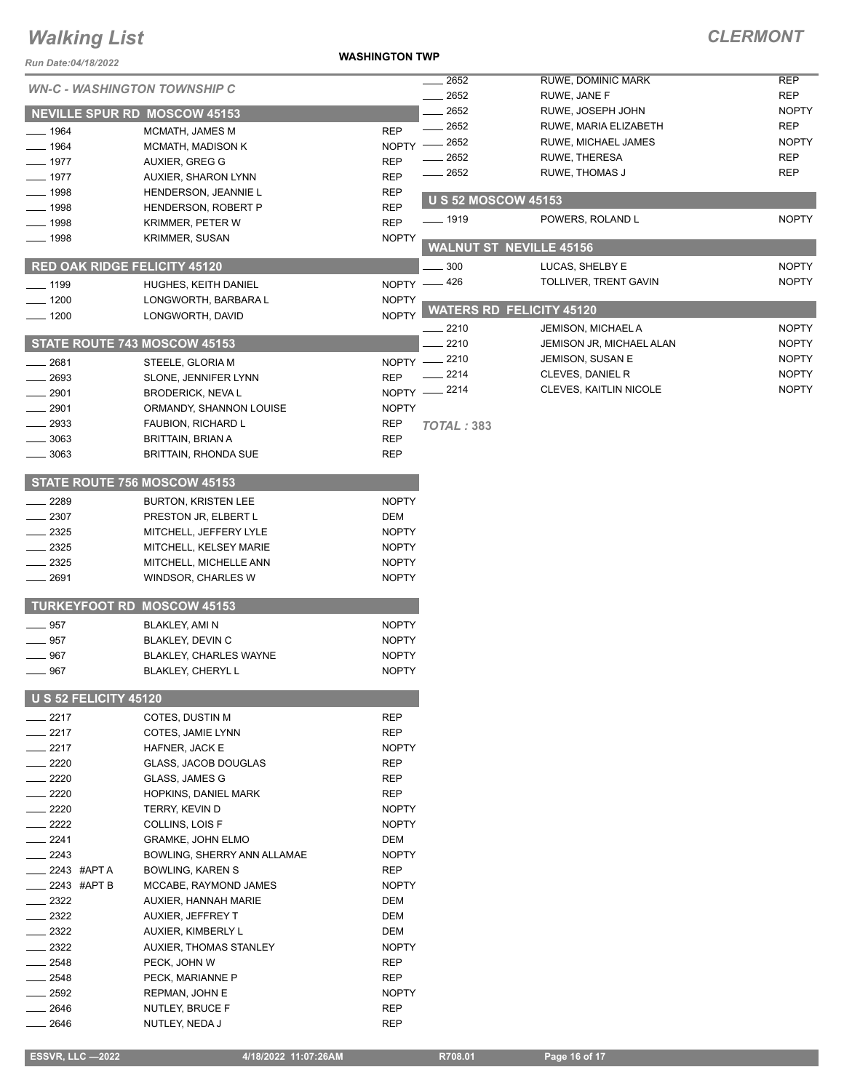#### **WASHINGTON TWP**

| Run Date:04/18/2022                 |                                     | <b>WASHINGTON TWP</b> |                                 |                                |              |  |
|-------------------------------------|-------------------------------------|-----------------------|---------------------------------|--------------------------------|--------------|--|
| <b>WN-C - WASHINGTON TOWNSHIP C</b> |                                     |                       | 2652                            | RUWE, DOMINIC MARK             | <b>REP</b>   |  |
|                                     |                                     |                       | 2652                            | RUWE, JANE F                   | <b>REP</b>   |  |
|                                     | <b>NEVILLE SPUR RD MOSCOW 45153</b> |                       | 2652                            | RUWE, JOSEPH JOHN              | <b>NOPTY</b> |  |
| $-1964$                             | MCMATH, JAMES M                     | <b>REP</b>            | 2652                            | RUWE, MARIA ELIZABETH          | <b>REP</b>   |  |
| 1964                                | MCMATH, MADISON K                   | <b>NOPTY</b>          | 2652                            | RUWE, MICHAEL JAMES            | <b>NOPTY</b> |  |
| 1977                                | AUXIER, GREG G                      | <b>REP</b>            | 2652                            | RUWE, THERESA                  | <b>REP</b>   |  |
| 1977                                | <b>AUXIER, SHARON LYNN</b>          | <b>REP</b>            | 2652                            | RUWE, THOMAS J                 | <b>REP</b>   |  |
| 1998                                | HENDERSON, JEANNIE L                | <b>REP</b>            | <b>U S 52 MOSCOW 45153</b>      |                                |              |  |
| $-1998$                             | <b>HENDERSON, ROBERT P</b>          | <b>REP</b>            |                                 |                                | <b>NOPTY</b> |  |
| 1998                                | KRIMMER, PETER W                    | <b>REP</b>            | <u>—</u> 1919                   | POWERS, ROLAND L               |              |  |
| $\frac{1}{2}$ 1998                  | <b>KRIMMER, SUSAN</b>               | <b>NOPTY</b>          |                                 | <b>WALNUT ST NEVILLE 45156</b> |              |  |
|                                     | <b>RED OAK RIDGE FELICITY 45120</b> |                       | 300                             | LUCAS, SHELBY E                | <b>NOPTY</b> |  |
| $-1199$                             | HUGHES, KEITH DANIEL                |                       | NOPTY -426                      | TOLLIVER, TRENT GAVIN          | <b>NOPTY</b> |  |
| $-1200$                             | LONGWORTH, BARBARA L                | <b>NOPTY</b>          |                                 |                                |              |  |
| $- 1200$                            | LONGWORTH, DAVID                    | <b>NOPTY</b>          | <b>WATERS RD FELICITY 45120</b> |                                |              |  |
|                                     |                                     |                       | 2210                            | JEMISON, MICHAEL A             | <b>NOPTY</b> |  |
|                                     | <b>STATE ROUTE 743 MOSCOW 45153</b> |                       | 2210                            | JEMISON JR, MICHAEL ALAN       | <b>NOPTY</b> |  |
| 2681                                | STEELE, GLORIA M                    | NOPTY -               | 2210                            | JEMISON, SUSAN E               | <b>NOPTY</b> |  |
| 2693                                | SLONE, JENNIFER LYNN                | <b>REP</b>            | 2214                            | CLEVES, DANIEL R               | <b>NOPTY</b> |  |
| 2901                                | <b>BRODERICK, NEVAL</b>             | NOPTY -               | $-2214$                         | CLEVES, KAITLIN NICOLE         | <b>NOPTY</b> |  |
| 2901                                | ORMANDY, SHANNON LOUISE             | <b>NOPTY</b>          |                                 |                                |              |  |
| 2933                                | FAUBION, RICHARD L                  | REP                   | TOTAL: 383                      |                                |              |  |
| 3063                                | <b>BRITTAIN, BRIAN A</b>            | <b>REP</b>            |                                 |                                |              |  |
| 3063                                | <b>BRITTAIN, RHONDA SUE</b>         | <b>REP</b>            |                                 |                                |              |  |
|                                     |                                     |                       |                                 |                                |              |  |
|                                     | STATE ROUTE 756 MOSCOW 45153        |                       |                                 |                                |              |  |
| 2289                                | <b>BURTON, KRISTEN LEE</b>          | <b>NOPTY</b>          |                                 |                                |              |  |
| 2307                                | PRESTON JR, ELBERT L                | DEM                   |                                 |                                |              |  |
| 2325                                | MITCHELL, JEFFERY LYLE              | <b>NOPTY</b>          |                                 |                                |              |  |
| 2325                                | MITCHELL, KELSEY MARIE              | <b>NOPTY</b>          |                                 |                                |              |  |
| 2325                                | MITCHELL, MICHELLE ANN              | <b>NOPTY</b>          |                                 |                                |              |  |
| 2691                                | WINDSOR, CHARLES W                  | <b>NOPTY</b>          |                                 |                                |              |  |
|                                     | <b>TURKEYFOOT RD MOSCOW 45153</b>   |                       |                                 |                                |              |  |
| 957                                 | BLAKLEY, AMI N                      | <b>NOPTY</b>          |                                 |                                |              |  |
| 957                                 | <b>BLAKLEY, DEVIN C</b>             | <b>NOPTY</b>          |                                 |                                |              |  |
| 967                                 | <b>BLAKLEY, CHARLES WAYNE</b>       | <b>NOPTY</b>          |                                 |                                |              |  |
| $-967$                              | BLAKLEY, CHERYL L                   | <b>NOPTY</b>          |                                 |                                |              |  |
|                                     | <b>U S 52 FELICITY 45120</b>        |                       |                                 |                                |              |  |
| 2217                                | COTES, DUSTIN M                     | <b>REP</b>            |                                 |                                |              |  |
| 2217                                | COTES, JAMIE LYNN                   | <b>REP</b>            |                                 |                                |              |  |
| 2217                                | HAFNER, JACK E                      | <b>NOPTY</b>          |                                 |                                |              |  |
| 2220                                | GLASS, JACOB DOUGLAS                | <b>REP</b>            |                                 |                                |              |  |
| 2220                                | GLASS, JAMES G                      | REP                   |                                 |                                |              |  |
| 2220                                | HOPKINS, DANIEL MARK                | <b>REP</b>            |                                 |                                |              |  |
| 2220                                | TERRY, KEVIN D                      | <b>NOPTY</b>          |                                 |                                |              |  |
| 2222                                | COLLINS, LOIS F                     | <b>NOPTY</b>          |                                 |                                |              |  |
| 2241                                | <b>GRAMKE, JOHN ELMO</b>            | DEM                   |                                 |                                |              |  |
| 2243                                | BOWLING, SHERRY ANN ALLAMAE         | <b>NOPTY</b>          |                                 |                                |              |  |
| 2243 #APT A                         | BOWLING, KAREN S                    | REP                   |                                 |                                |              |  |
| 2243 #APT B                         | MCCABE, RAYMOND JAMES               | <b>NOPTY</b>          |                                 |                                |              |  |
| 2322                                | AUXIER, HANNAH MARIE                | DEM                   |                                 |                                |              |  |
| 2322                                | AUXIER, JEFFREY T                   | DEM                   |                                 |                                |              |  |
| 2322                                | AUXIER, KIMBERLY L                  | DEM                   |                                 |                                |              |  |
| 2322                                | AUXIER, THOMAS STANLEY              | <b>NOPTY</b>          |                                 |                                |              |  |
| 2548                                | PECK, JOHN W                        | <b>REP</b>            |                                 |                                |              |  |
| 2548                                | PECK, MARIANNE P                    | REP                   |                                 |                                |              |  |
| 2592                                | REPMAN, JOHN E                      | <b>NOPTY</b>          |                                 |                                |              |  |
| 2646                                | NUTLEY, BRUCE F                     | REP                   |                                 |                                |              |  |
| 2646                                | NUTLEY, NEDA J                      | <b>REP</b>            |                                 |                                |              |  |